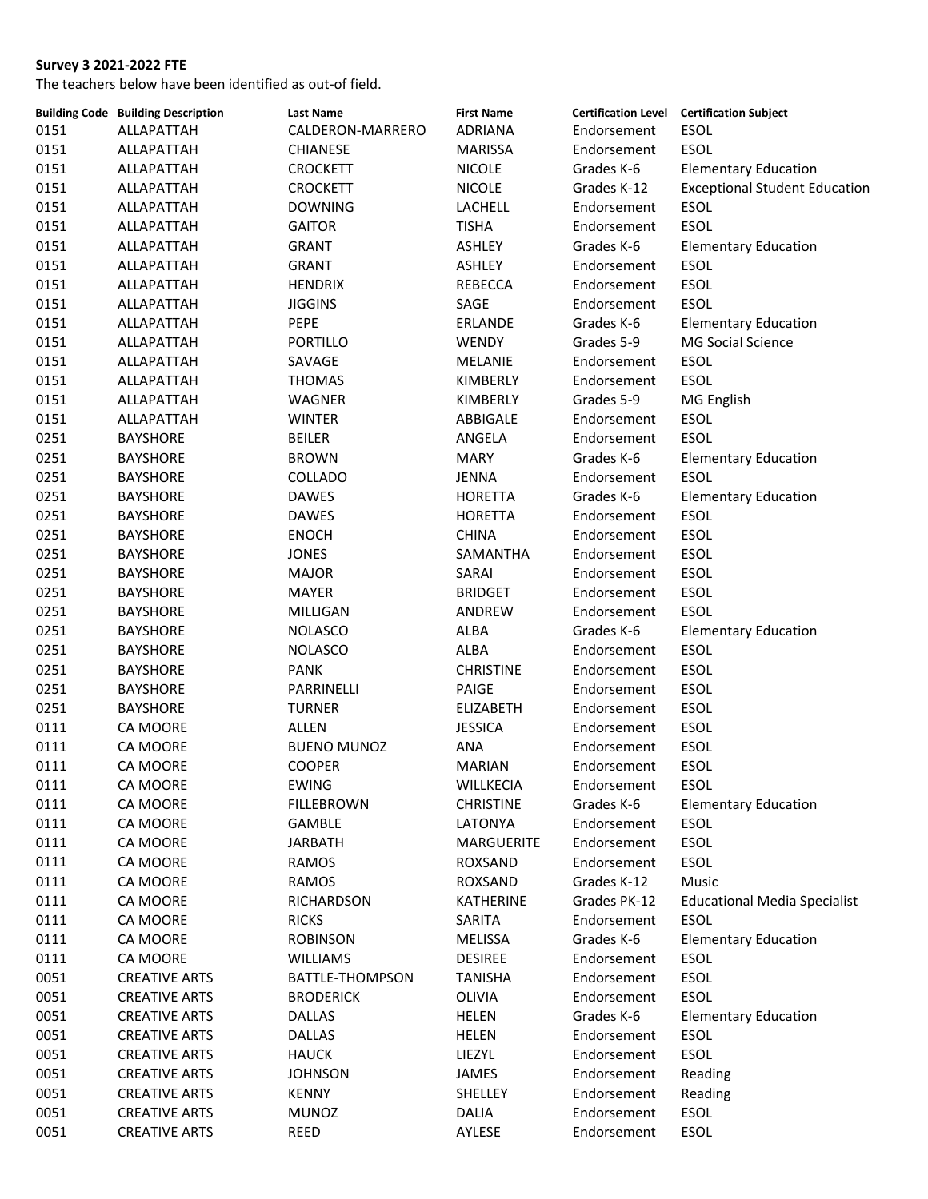|      | <b>Building Code Building Description</b> | <b>Last Name</b>   | <b>First Name</b> |              | <b>Certification Level Certification Subject</b> |
|------|-------------------------------------------|--------------------|-------------------|--------------|--------------------------------------------------|
| 0151 | ALLAPATTAH                                | CALDERON-MARRERO   | <b>ADRIANA</b>    | Endorsement  | ESOL                                             |
| 0151 | ALLAPATTAH                                | <b>CHIANESE</b>    | MARISSA           | Endorsement  | <b>ESOL</b>                                      |
| 0151 | ALLAPATTAH                                | <b>CROCKETT</b>    | <b>NICOLE</b>     | Grades K-6   | <b>Elementary Education</b>                      |
| 0151 | ALLAPATTAH                                | <b>CROCKETT</b>    | <b>NICOLE</b>     | Grades K-12  | <b>Exceptional Student Education</b>             |
| 0151 | ALLAPATTAH                                | <b>DOWNING</b>     | LACHELL           | Endorsement  | <b>ESOL</b>                                      |
| 0151 | ALLAPATTAH                                | <b>GAITOR</b>      | <b>TISHA</b>      | Endorsement  | <b>ESOL</b>                                      |
| 0151 | ALLAPATTAH                                | <b>GRANT</b>       | ASHLEY            | Grades K-6   | <b>Elementary Education</b>                      |
| 0151 | ALLAPATTAH                                | <b>GRANT</b>       | ASHLEY            | Endorsement  | ESOL                                             |
| 0151 | ALLAPATTAH                                | <b>HENDRIX</b>     | REBECCA           | Endorsement  | ESOL                                             |
| 0151 | ALLAPATTAH                                | <b>JIGGINS</b>     | SAGE              | Endorsement  | ESOL                                             |
| 0151 | ALLAPATTAH                                | PEPE               | ERLANDE           | Grades K-6   | <b>Elementary Education</b>                      |
| 0151 | ALLAPATTAH                                | <b>PORTILLO</b>    | WENDY             | Grades 5-9   | MG Social Science                                |
| 0151 | ALLAPATTAH                                | SAVAGE             | MELANIE           | Endorsement  | ESOL                                             |
| 0151 | ALLAPATTAH                                | <b>THOMAS</b>      | KIMBERLY          | Endorsement  | ESOL                                             |
| 0151 | ALLAPATTAH                                | WAGNER             | KIMBERLY          | Grades 5-9   | MG English                                       |
| 0151 | ALLAPATTAH                                | <b>WINTER</b>      | ABBIGALE          | Endorsement  | <b>ESOL</b>                                      |
| 0251 | <b>BAYSHORE</b>                           | <b>BEILER</b>      | ANGELA            | Endorsement  | <b>ESOL</b>                                      |
| 0251 | <b>BAYSHORE</b>                           | <b>BROWN</b>       | <b>MARY</b>       | Grades K-6   | <b>Elementary Education</b>                      |
| 0251 | <b>BAYSHORE</b>                           | COLLADO            | JENNA             | Endorsement  | ESOL                                             |
| 0251 | <b>BAYSHORE</b>                           | <b>DAWES</b>       | <b>HORETTA</b>    | Grades K-6   | <b>Elementary Education</b>                      |
| 0251 | <b>BAYSHORE</b>                           | <b>DAWES</b>       | <b>HORETTA</b>    | Endorsement  | ESOL                                             |
| 0251 | <b>BAYSHORE</b>                           | <b>ENOCH</b>       | <b>CHINA</b>      | Endorsement  | <b>ESOL</b>                                      |
| 0251 | <b>BAYSHORE</b>                           | <b>JONES</b>       | SAMANTHA          | Endorsement  | <b>ESOL</b>                                      |
| 0251 | <b>BAYSHORE</b>                           | <b>MAJOR</b>       | SARAI             | Endorsement  | <b>ESOL</b>                                      |
| 0251 |                                           | <b>MAYER</b>       | <b>BRIDGET</b>    | Endorsement  | ESOL                                             |
|      | <b>BAYSHORE</b>                           |                    |                   |              | <b>ESOL</b>                                      |
| 0251 | <b>BAYSHORE</b>                           | MILLIGAN           | ANDREW            | Endorsement  |                                                  |
| 0251 | <b>BAYSHORE</b>                           | <b>NOLASCO</b>     | ALBA              | Grades K-6   | <b>Elementary Education</b>                      |
| 0251 | <b>BAYSHORE</b>                           | <b>NOLASCO</b>     | ALBA              | Endorsement  | ESOL                                             |
| 0251 | <b>BAYSHORE</b>                           | <b>PANK</b>        | <b>CHRISTINE</b>  | Endorsement  | ESOL                                             |
| 0251 | <b>BAYSHORE</b>                           | PARRINELLI         | PAIGE             | Endorsement  | ESOL                                             |
| 0251 | <b>BAYSHORE</b>                           | <b>TURNER</b>      | <b>ELIZABETH</b>  | Endorsement  | ESOL                                             |
| 0111 | CA MOORE                                  | <b>ALLEN</b>       | <b>JESSICA</b>    | Endorsement  | <b>ESOL</b>                                      |
| 0111 | CA MOORE                                  | <b>BUENO MUNOZ</b> | ANA               | Endorsement  | ESOL                                             |
| 0111 | <b>CA MOORE</b>                           | <b>COOPER</b>      | <b>MARIAN</b>     | Endorsement  | <b>ESOL</b>                                      |
| 0111 | CA MOORE                                  | EWING              | WILLKECIA         | Endorsement  | <b>ESOL</b>                                      |
| 0111 | CA MOORE                                  | <b>FILLEBROWN</b>  | <b>CHRISTINE</b>  | Grades K-6   | <b>Elementary Education</b>                      |
| 0111 | CA MOORE                                  | GAMBLE             | LATONYA           | Endorsement  | <b>ESOL</b>                                      |
| 0111 | CA MOORE                                  | <b>JARBATH</b>     | MARGUERITE        | Endorsement  | <b>ESOL</b>                                      |
| 0111 | CA MOORE                                  | RAMOS              | ROXSAND           | Endorsement  | ESOL                                             |
| 0111 | CA MOORE                                  | RAMOS              | ROXSAND           | Grades K-12  | Music                                            |
| 0111 | CA MOORE                                  | <b>RICHARDSON</b>  | KATHERINE         | Grades PK-12 | <b>Educational Media Specialist</b>              |
| 0111 | CA MOORE                                  | <b>RICKS</b>       | SARITA            | Endorsement  | <b>ESOL</b>                                      |
| 0111 | CA MOORE                                  | <b>ROBINSON</b>    | <b>MELISSA</b>    | Grades K-6   | <b>Elementary Education</b>                      |
| 0111 | CA MOORE                                  | <b>WILLIAMS</b>    | <b>DESIREE</b>    | Endorsement  | <b>ESOL</b>                                      |
| 0051 | <b>CREATIVE ARTS</b>                      | BATTLE-THOMPSON    | <b>TANISHA</b>    | Endorsement  | <b>ESOL</b>                                      |
| 0051 | <b>CREATIVE ARTS</b>                      | <b>BRODERICK</b>   | OLIVIA            | Endorsement  | ESOL                                             |
| 0051 | <b>CREATIVE ARTS</b>                      | <b>DALLAS</b>      | <b>HELEN</b>      | Grades K-6   | <b>Elementary Education</b>                      |
| 0051 | <b>CREATIVE ARTS</b>                      | <b>DALLAS</b>      | <b>HELEN</b>      | Endorsement  | <b>ESOL</b>                                      |
| 0051 | <b>CREATIVE ARTS</b>                      | <b>HAUCK</b>       | LIEZYL            | Endorsement  | <b>ESOL</b>                                      |
| 0051 | <b>CREATIVE ARTS</b>                      | <b>JOHNSON</b>     | JAMES             | Endorsement  | Reading                                          |
| 0051 | <b>CREATIVE ARTS</b>                      | KENNY              | SHELLEY           | Endorsement  | Reading                                          |
| 0051 | <b>CREATIVE ARTS</b>                      | <b>MUNOZ</b>       | DALIA             | Endorsement  | ESOL                                             |
| 0051 | <b>CREATIVE ARTS</b>                      | REED               | AYLESE            | Endorsement  | ESOL                                             |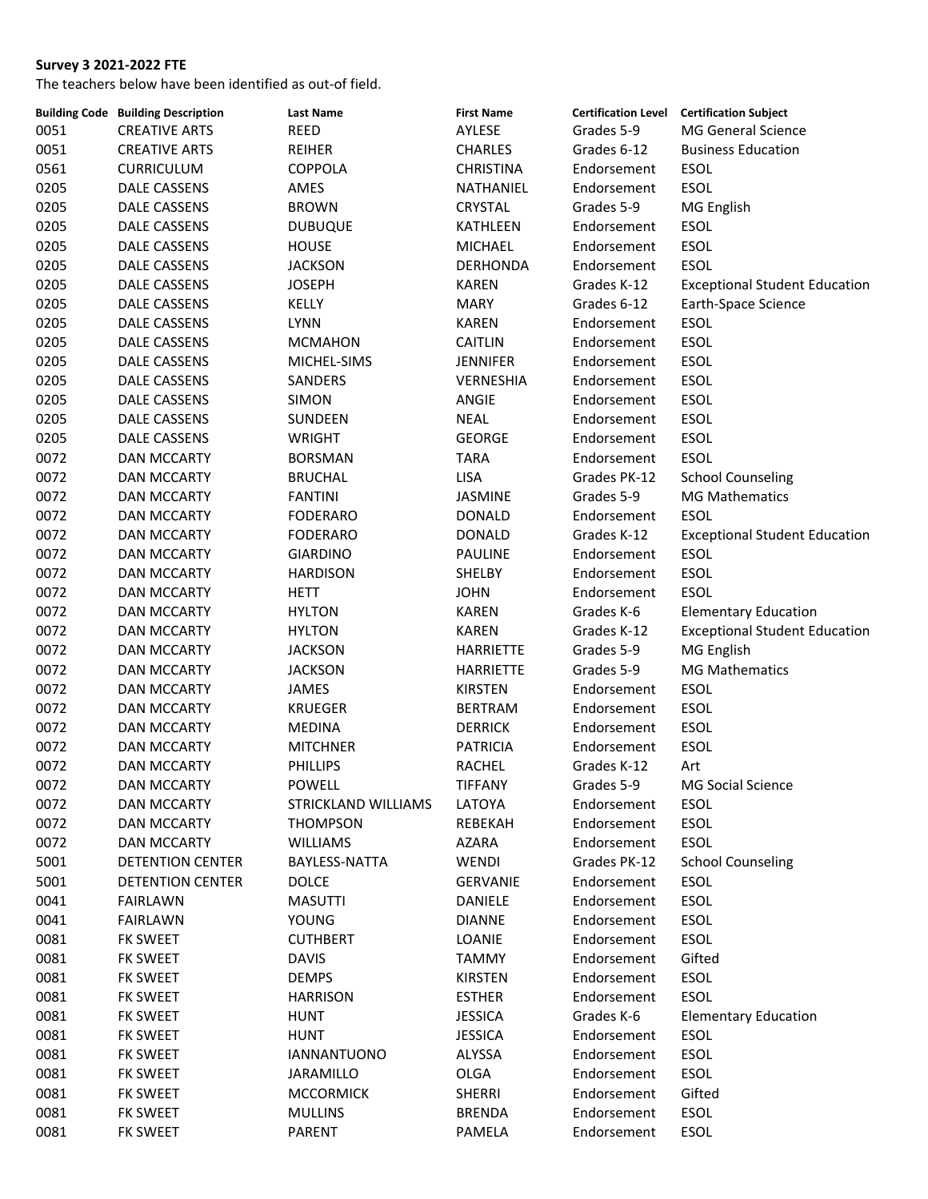|      | <b>Building Code Building Description</b> | <b>Last Name</b>    | <b>First Name</b> |              | Certification Level Certification Subject |
|------|-------------------------------------------|---------------------|-------------------|--------------|-------------------------------------------|
| 0051 | <b>CREATIVE ARTS</b>                      | <b>REED</b>         | AYLESE            | Grades 5-9   | MG General Science                        |
| 0051 | <b>CREATIVE ARTS</b>                      | <b>REIHER</b>       | <b>CHARLES</b>    | Grades 6-12  | <b>Business Education</b>                 |
| 0561 | <b>CURRICULUM</b>                         | <b>COPPOLA</b>      | <b>CHRISTINA</b>  | Endorsement  | <b>ESOL</b>                               |
| 0205 | DALE CASSENS                              | AMES                | NATHANIEL         | Endorsement  | <b>ESOL</b>                               |
| 0205 | DALE CASSENS                              | <b>BROWN</b>        | <b>CRYSTAL</b>    | Grades 5-9   | MG English                                |
| 0205 | DALE CASSENS                              | <b>DUBUQUE</b>      | KATHLEEN          | Endorsement  | <b>ESOL</b>                               |
| 0205 | DALE CASSENS                              | <b>HOUSE</b>        | <b>MICHAEL</b>    | Endorsement  | <b>ESOL</b>                               |
| 0205 | DALE CASSENS                              | <b>JACKSON</b>      | <b>DERHONDA</b>   | Endorsement  | <b>ESOL</b>                               |
| 0205 | DALE CASSENS                              | <b>JOSEPH</b>       | <b>KAREN</b>      | Grades K-12  | <b>Exceptional Student Education</b>      |
| 0205 | DALE CASSENS                              | KELLY               | <b>MARY</b>       | Grades 6-12  | Earth-Space Science                       |
| 0205 | <b>DALE CASSENS</b>                       | <b>LYNN</b>         | <b>KAREN</b>      | Endorsement  | ESOL                                      |
| 0205 | DALE CASSENS                              | <b>MCMAHON</b>      | <b>CAITLIN</b>    | Endorsement  | ESOL                                      |
| 0205 | DALE CASSENS                              | MICHEL-SIMS         | <b>JENNIFER</b>   | Endorsement  | <b>ESOL</b>                               |
| 0205 | DALE CASSENS                              | SANDERS             | VERNESHIA         | Endorsement  | <b>ESOL</b>                               |
| 0205 | DALE CASSENS                              | <b>SIMON</b>        | ANGIE             | Endorsement  | <b>ESOL</b>                               |
| 0205 | DALE CASSENS                              | SUNDEEN             | <b>NEAL</b>       | Endorsement  | <b>ESOL</b>                               |
| 0205 | DALE CASSENS                              | <b>WRIGHT</b>       | <b>GEORGE</b>     | Endorsement  | ESOL                                      |
| 0072 | <b>DAN MCCARTY</b>                        | <b>BORSMAN</b>      | <b>TARA</b>       | Endorsement  | <b>ESOL</b>                               |
| 0072 | <b>DAN MCCARTY</b>                        | <b>BRUCHAL</b>      | <b>LISA</b>       | Grades PK-12 | <b>School Counseling</b>                  |
| 0072 | <b>DAN MCCARTY</b>                        | <b>FANTINI</b>      | JASMINE           | Grades 5-9   | <b>MG Mathematics</b>                     |
| 0072 | <b>DAN MCCARTY</b>                        | <b>FODERARO</b>     | <b>DONALD</b>     | Endorsement  | <b>ESOL</b>                               |
| 0072 | DAN MCCARTY                               | <b>FODERARO</b>     | <b>DONALD</b>     | Grades K-12  | <b>Exceptional Student Education</b>      |
| 0072 |                                           | <b>GIARDINO</b>     | <b>PAULINE</b>    | Endorsement  | <b>ESOL</b>                               |
| 0072 | DAN MCCARTY                               |                     |                   |              | <b>ESOL</b>                               |
|      | <b>DAN MCCARTY</b>                        | <b>HARDISON</b>     | SHELBY            | Endorsement  |                                           |
| 0072 | DAN MCCARTY                               | HETT                | <b>JOHN</b>       | Endorsement  | <b>ESOL</b>                               |
| 0072 | <b>DAN MCCARTY</b>                        | <b>HYLTON</b>       | <b>KAREN</b>      | Grades K-6   | <b>Elementary Education</b>               |
| 0072 | DAN MCCARTY                               | <b>HYLTON</b>       | <b>KAREN</b>      | Grades K-12  | <b>Exceptional Student Education</b>      |
| 0072 | <b>DAN MCCARTY</b>                        | <b>JACKSON</b>      | <b>HARRIETTE</b>  | Grades 5-9   | MG English                                |
| 0072 | DAN MCCARTY                               | <b>JACKSON</b>      | <b>HARRIETTE</b>  | Grades 5-9   | <b>MG Mathematics</b>                     |
| 0072 | DAN MCCARTY                               | <b>JAMES</b>        | <b>KIRSTEN</b>    | Endorsement  | ESOL                                      |
| 0072 | DAN MCCARTY                               | <b>KRUEGER</b>      | <b>BERTRAM</b>    | Endorsement  | <b>ESOL</b>                               |
| 0072 | <b>DAN MCCARTY</b>                        | <b>MEDINA</b>       | <b>DERRICK</b>    | Endorsement  | <b>ESOL</b>                               |
| 0072 | <b>DAN MCCARTY</b>                        | <b>MITCHNER</b>     | <b>PATRICIA</b>   | Endorsement  | ESOL                                      |
| 0072 | <b>DAN MCCARTY</b>                        | <b>PHILLIPS</b>     | <b>RACHEL</b>     | Grades K-12  | Art                                       |
| 0072 | <b>DAN MCCARTY</b>                        | <b>POWELL</b>       | <b>TIFFANY</b>    | Grades 5-9   | MG Social Science                         |
| 0072 | DAN MCCARTY                               | STRICKLAND WILLIAMS | LATOYA            | Endorsement  | ESOL                                      |
| 0072 | DAN MCCARTY                               | <b>THOMPSON</b>     | REBEKAH           | Endorsement  | ESOL                                      |
| 0072 | <b>DAN MCCARTY</b>                        | <b>WILLIAMS</b>     | AZARA             | Endorsement  | ESOL                                      |
| 5001 | DETENTION CENTER                          | BAYLESS-NATTA       | WENDI             | Grades PK-12 | <b>School Counseling</b>                  |
| 5001 | DETENTION CENTER                          | <b>DOLCE</b>        | <b>GERVANIE</b>   | Endorsement  | ESOL                                      |
| 0041 | <b>FAIRLAWN</b>                           | <b>MASUTTI</b>      | DANIELE           | Endorsement  | ESOL                                      |
| 0041 | <b>FAIRLAWN</b>                           | <b>YOUNG</b>        | <b>DIANNE</b>     | Endorsement  | ESOL                                      |
| 0081 | FK SWEET                                  | <b>CUTHBERT</b>     | LOANIE            | Endorsement  | ESOL                                      |
| 0081 | FK SWEET                                  | <b>DAVIS</b>        | <b>TAMMY</b>      | Endorsement  | Gifted                                    |
| 0081 | FK SWEET                                  | <b>DEMPS</b>        | KIRSTEN           | Endorsement  | ESOL                                      |
| 0081 | FK SWEET                                  | <b>HARRISON</b>     | <b>ESTHER</b>     | Endorsement  | <b>ESOL</b>                               |
| 0081 | FK SWEET                                  | HUNT                | <b>JESSICA</b>    | Grades K-6   | <b>Elementary Education</b>               |
| 0081 | FK SWEET                                  | <b>HUNT</b>         | <b>JESSICA</b>    | Endorsement  | ESOL                                      |
| 0081 | FK SWEET                                  | <b>IANNANTUONO</b>  | ALYSSA            | Endorsement  | ESOL                                      |
| 0081 | FK SWEET                                  | JARAMILLO           | OLGA              | Endorsement  | ESOL                                      |
| 0081 | FK SWEET                                  | <b>MCCORMICK</b>    | SHERRI            | Endorsement  | Gifted                                    |
| 0081 | FK SWEET                                  | <b>MULLINS</b>      | <b>BRENDA</b>     | Endorsement  | ESOL                                      |
| 0081 | <b>FK SWEET</b>                           | PARENT              | PAMELA            | Endorsement  | <b>ESOL</b>                               |
|      |                                           |                     |                   |              |                                           |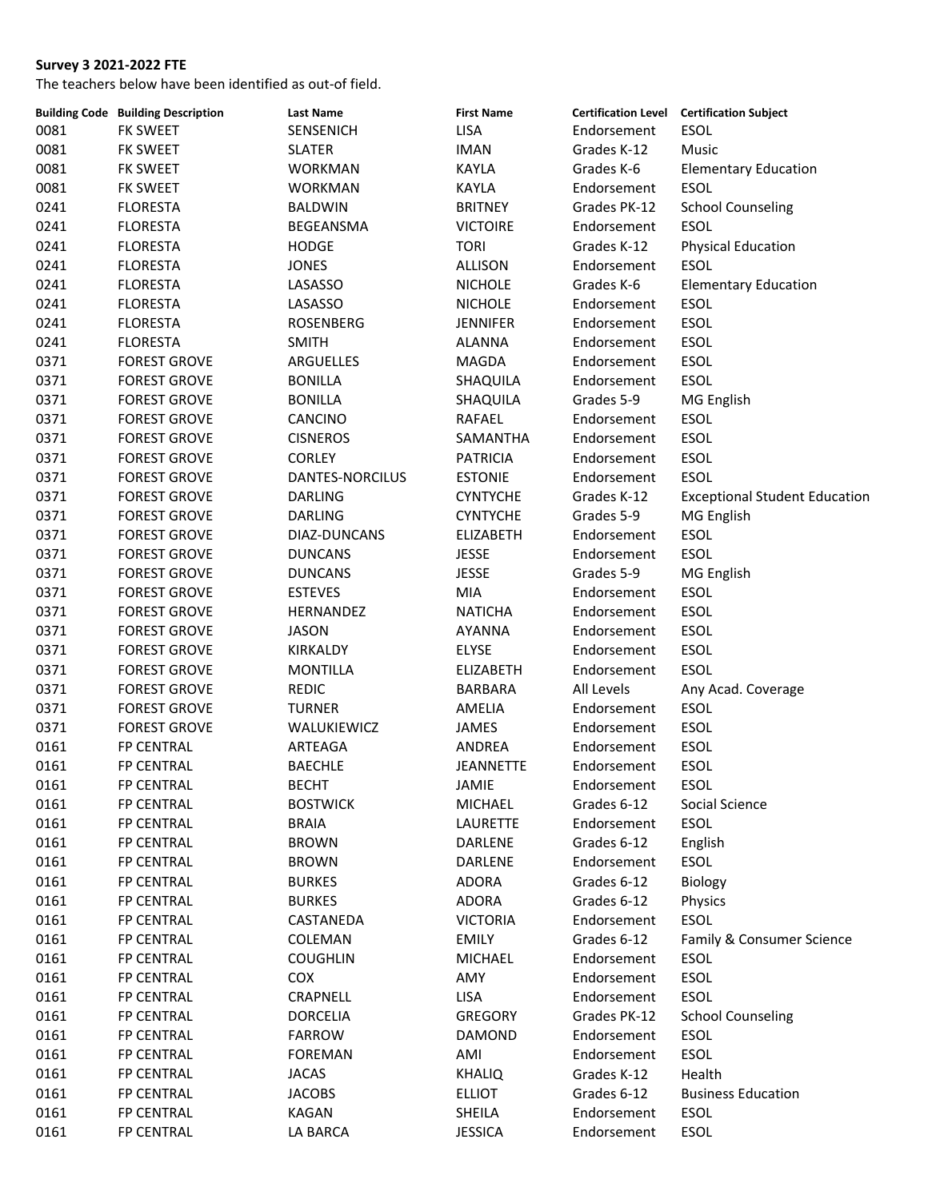|      | <b>Building Code Building Description</b> | <b>Last Name</b> | <b>First Name</b> |              | <b>Certification Level Certification Subject</b> |
|------|-------------------------------------------|------------------|-------------------|--------------|--------------------------------------------------|
| 0081 | <b>FK SWEET</b>                           | SENSENICH        | <b>LISA</b>       | Endorsement  | ESOL                                             |
| 0081 | FK SWEET                                  | <b>SLATER</b>    | <b>IMAN</b>       | Grades K-12  | Music                                            |
| 0081 | FK SWEET                                  | <b>WORKMAN</b>   | <b>KAYLA</b>      | Grades K-6   | <b>Elementary Education</b>                      |
| 0081 | FK SWEET                                  | <b>WORKMAN</b>   | KAYLA             | Endorsement  | <b>ESOL</b>                                      |
| 0241 | <b>FLORESTA</b>                           | <b>BALDWIN</b>   | <b>BRITNEY</b>    | Grades PK-12 | <b>School Counseling</b>                         |
| 0241 | <b>FLORESTA</b>                           | <b>BEGEANSMA</b> | <b>VICTOIRE</b>   | Endorsement  | <b>ESOL</b>                                      |
| 0241 | <b>FLORESTA</b>                           | <b>HODGE</b>     | <b>TORI</b>       | Grades K-12  | <b>Physical Education</b>                        |
| 0241 | <b>FLORESTA</b>                           | <b>JONES</b>     | ALLISON           | Endorsement  | <b>ESOL</b>                                      |
| 0241 | <b>FLORESTA</b>                           | LASASSO          | <b>NICHOLE</b>    | Grades K-6   | <b>Elementary Education</b>                      |
| 0241 | <b>FLORESTA</b>                           | LASASSO          | <b>NICHOLE</b>    | Endorsement  | <b>ESOL</b>                                      |
| 0241 | <b>FLORESTA</b>                           | <b>ROSENBERG</b> | <b>JENNIFER</b>   | Endorsement  | ESOL                                             |
| 0241 | <b>FLORESTA</b>                           | <b>SMITH</b>     | <b>ALANNA</b>     | Endorsement  | ESOL                                             |
| 0371 | <b>FOREST GROVE</b>                       | ARGUELLES        | MAGDA             | Endorsement  | <b>ESOL</b>                                      |
| 0371 | <b>FOREST GROVE</b>                       | <b>BONILLA</b>   | SHAQUILA          | Endorsement  | <b>ESOL</b>                                      |
| 0371 | <b>FOREST GROVE</b>                       | <b>BONILLA</b>   | SHAQUILA          | Grades 5-9   | MG English                                       |
| 0371 | <b>FOREST GROVE</b>                       | CANCINO          | RAFAEL            | Endorsement  | <b>ESOL</b>                                      |
| 0371 | <b>FOREST GROVE</b>                       | <b>CISNEROS</b>  | SAMANTHA          | Endorsement  | <b>ESOL</b>                                      |
| 0371 | <b>FOREST GROVE</b>                       | <b>CORLEY</b>    | <b>PATRICIA</b>   | Endorsement  | <b>ESOL</b>                                      |
| 0371 | <b>FOREST GROVE</b>                       | DANTES-NORCILUS  | <b>ESTONIE</b>    | Endorsement  | <b>ESOL</b>                                      |
| 0371 | <b>FOREST GROVE</b>                       | <b>DARLING</b>   | <b>CYNTYCHE</b>   | Grades K-12  |                                                  |
|      | <b>FOREST GROVE</b>                       |                  |                   | Grades 5-9   | <b>Exceptional Student Education</b>             |
| 0371 |                                           | <b>DARLING</b>   | <b>CYNTYCHE</b>   |              | MG English                                       |
| 0371 | <b>FOREST GROVE</b>                       | DIAZ-DUNCANS     | <b>ELIZABETH</b>  | Endorsement  | ESOL                                             |
| 0371 | <b>FOREST GROVE</b>                       | <b>DUNCANS</b>   | <b>JESSE</b>      | Endorsement  | <b>ESOL</b>                                      |
| 0371 | <b>FOREST GROVE</b>                       | <b>DUNCANS</b>   | <b>JESSE</b>      | Grades 5-9   | MG English                                       |
| 0371 | <b>FOREST GROVE</b>                       | <b>ESTEVES</b>   | MIA               | Endorsement  | ESOL                                             |
| 0371 | <b>FOREST GROVE</b>                       | HERNANDEZ        | <b>NATICHA</b>    | Endorsement  | <b>ESOL</b>                                      |
| 0371 | <b>FOREST GROVE</b>                       | <b>JASON</b>     | AYANNA            | Endorsement  | ESOL                                             |
| 0371 | <b>FOREST GROVE</b>                       | KIRKALDY         | <b>ELYSE</b>      | Endorsement  | ESOL                                             |
| 0371 | <b>FOREST GROVE</b>                       | <b>MONTILLA</b>  | ELIZABETH         | Endorsement  | <b>ESOL</b>                                      |
| 0371 | <b>FOREST GROVE</b>                       | <b>REDIC</b>     | BARBARA           | All Levels   | Any Acad. Coverage                               |
| 0371 | <b>FOREST GROVE</b>                       | <b>TURNER</b>    | AMELIA            | Endorsement  | ESOL                                             |
| 0371 | <b>FOREST GROVE</b>                       | WALUKIEWICZ      | JAMES             | Endorsement  | ESOL                                             |
| 0161 | FP CENTRAL                                | ARTEAGA          | ANDREA            | Endorsement  | ESOL                                             |
| 0161 | FP CENTRAL                                | <b>BAECHLE</b>   | <b>JEANNETTE</b>  | Endorsement  | <b>ESOL</b>                                      |
| 0161 | FP CENTRAL                                | <b>BECHT</b>     | JAMIE             | Endorsement  | ESOL                                             |
| 0161 | <b>FP CENTRAL</b>                         | <b>BOSTWICK</b>  | MICHAEL           | Grades 6-12  | Social Science                                   |
| 0161 | FP CENTRAL                                | <b>BRAIA</b>     | LAURETTE          | Endorsement  | ESOL                                             |
| 0161 | FP CENTRAL                                | <b>BROWN</b>     | DARLENE           | Grades 6-12  | English                                          |
| 0161 | FP CENTRAL                                | <b>BROWN</b>     | DARLENE           | Endorsement  | ESOL                                             |
| 0161 | FP CENTRAL                                | <b>BURKES</b>    | <b>ADORA</b>      | Grades 6-12  | Biology                                          |
| 0161 | FP CENTRAL                                | <b>BURKES</b>    | <b>ADORA</b>      | Grades 6-12  | Physics                                          |
| 0161 | FP CENTRAL                                | CASTANEDA        | <b>VICTORIA</b>   | Endorsement  | ESOL                                             |
| 0161 | FP CENTRAL                                | COLEMAN          | <b>EMILY</b>      | Grades 6-12  | Family & Consumer Science                        |
| 0161 | FP CENTRAL                                | <b>COUGHLIN</b>  | <b>MICHAEL</b>    | Endorsement  | ESOL                                             |
| 0161 | FP CENTRAL                                | COX              | AMY               | Endorsement  | ESOL                                             |
| 0161 | FP CENTRAL                                | CRAPNELL         | LISA              | Endorsement  | <b>ESOL</b>                                      |
| 0161 | FP CENTRAL                                | <b>DORCELIA</b>  | <b>GREGORY</b>    | Grades PK-12 | <b>School Counseling</b>                         |
| 0161 | FP CENTRAL                                | <b>FARROW</b>    | DAMOND            | Endorsement  | ESOL                                             |
| 0161 | FP CENTRAL                                | <b>FOREMAN</b>   | AMI               | Endorsement  | <b>ESOL</b>                                      |
| 0161 | FP CENTRAL                                | <b>JACAS</b>     | <b>KHALIQ</b>     | Grades K-12  | Health                                           |
| 0161 | FP CENTRAL                                | <b>JACOBS</b>    | <b>ELLIOT</b>     | Grades 6-12  | <b>Business Education</b>                        |
| 0161 | FP CENTRAL                                | KAGAN            | SHEILA            | Endorsement  | ESOL                                             |
| 0161 | FP CENTRAL                                | LA BARCA         | <b>JESSICA</b>    | Endorsement  | ESOL                                             |
|      |                                           |                  |                   |              |                                                  |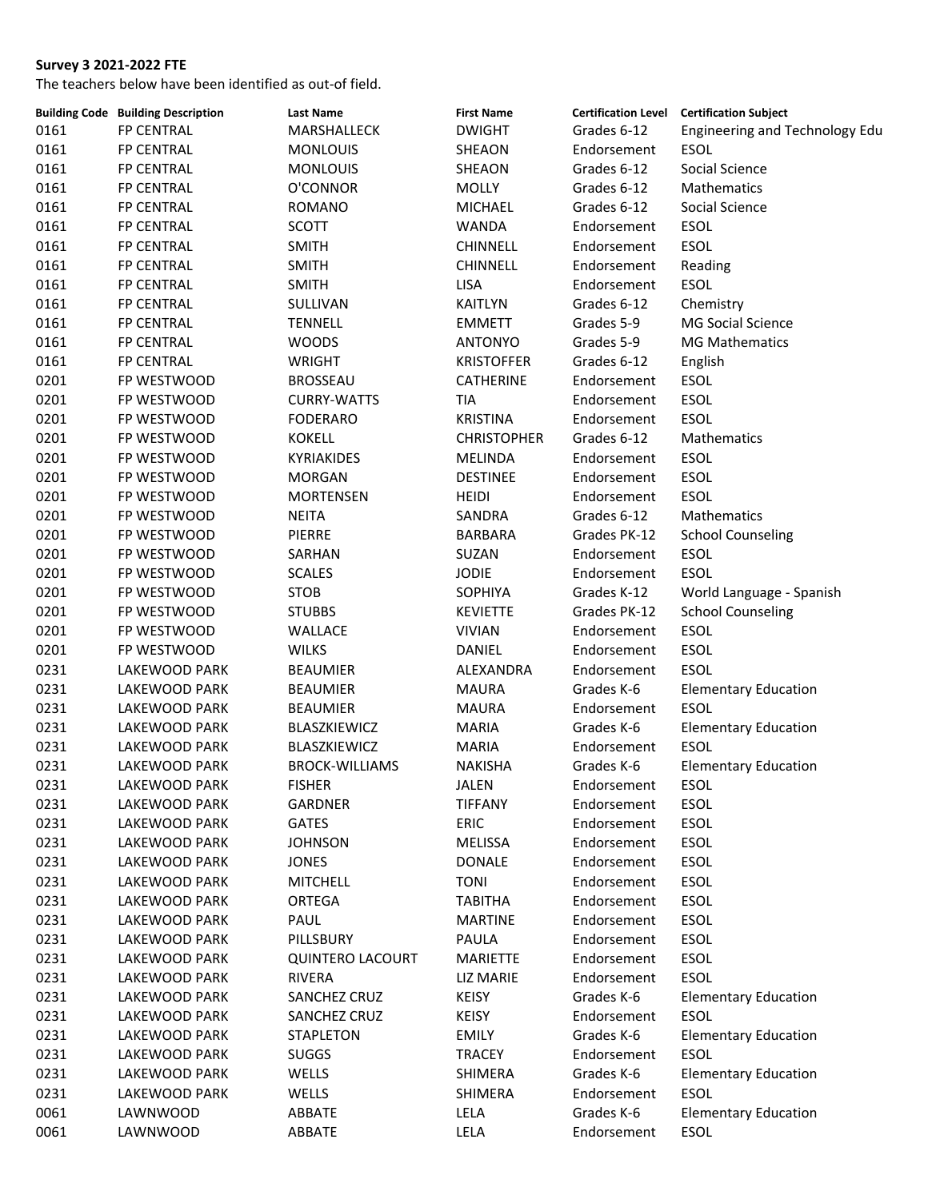|      | <b>Building Code Building Description</b> | <b>Last Name</b>        | <b>First Name</b>  |              | Certification Level Certification Subject |
|------|-------------------------------------------|-------------------------|--------------------|--------------|-------------------------------------------|
| 0161 | FP CENTRAL                                | MARSHALLECK             | <b>DWIGHT</b>      | Grades 6-12  | Engineering and Technology Edu            |
| 0161 | <b>FP CENTRAL</b>                         | <b>MONLOUIS</b>         | <b>SHEAON</b>      | Endorsement  | <b>ESOL</b>                               |
| 0161 | <b>FP CENTRAL</b>                         | <b>MONLOUIS</b>         | SHEAON             | Grades 6-12  | Social Science                            |
| 0161 | FP CENTRAL                                | O'CONNOR                | <b>MOLLY</b>       | Grades 6-12  | Mathematics                               |
| 0161 | <b>FP CENTRAL</b>                         | <b>ROMANO</b>           | <b>MICHAEL</b>     | Grades 6-12  | Social Science                            |
| 0161 | <b>FP CENTRAL</b>                         | <b>SCOTT</b>            | WANDA              | Endorsement  | <b>ESOL</b>                               |
| 0161 | <b>FP CENTRAL</b>                         | <b>SMITH</b>            | <b>CHINNELL</b>    | Endorsement  | <b>ESOL</b>                               |
| 0161 | FP CENTRAL                                | <b>SMITH</b>            | <b>CHINNELL</b>    | Endorsement  | Reading                                   |
| 0161 | <b>FP CENTRAL</b>                         | <b>SMITH</b>            | <b>LISA</b>        | Endorsement  | ESOL                                      |
| 0161 | <b>FP CENTRAL</b>                         | SULLIVAN                | KAITLYN            | Grades 6-12  | Chemistry                                 |
| 0161 | <b>FP CENTRAL</b>                         | <b>TENNELL</b>          | <b>EMMETT</b>      | Grades 5-9   | <b>MG Social Science</b>                  |
| 0161 | <b>FP CENTRAL</b>                         | <b>WOODS</b>            | ANTONYO            | Grades 5-9   | <b>MG Mathematics</b>                     |
| 0161 | <b>FP CENTRAL</b>                         | <b>WRIGHT</b>           | <b>KRISTOFFER</b>  | Grades 6-12  | English                                   |
| 0201 | FP WESTWOOD                               | <b>BROSSEAU</b>         | CATHERINE          | Endorsement  | ESOL                                      |
| 0201 | FP WESTWOOD                               | <b>CURRY-WATTS</b>      | <b>TIA</b>         | Endorsement  | <b>ESOL</b>                               |
| 0201 | FP WESTWOOD                               | <b>FODERARO</b>         | <b>KRISTINA</b>    | Endorsement  | <b>ESOL</b>                               |
| 0201 | FP WESTWOOD                               | <b>KOKELL</b>           | <b>CHRISTOPHER</b> | Grades 6-12  | Mathematics                               |
| 0201 | FP WESTWOOD                               | <b>KYRIAKIDES</b>       | <b>MELINDA</b>     | Endorsement  | ESOL                                      |
| 0201 | FP WESTWOOD                               | <b>MORGAN</b>           | <b>DESTINEE</b>    | Endorsement  | ESOL                                      |
| 0201 | FP WESTWOOD                               | <b>MORTENSEN</b>        | <b>HEIDI</b>       | Endorsement  | <b>ESOL</b>                               |
| 0201 | FP WESTWOOD                               | <b>NEITA</b>            | SANDRA             | Grades 6-12  | Mathematics                               |
| 0201 | FP WESTWOOD                               | <b>PIERRE</b>           | BARBARA            | Grades PK-12 | <b>School Counseling</b>                  |
|      |                                           |                         |                    |              |                                           |
| 0201 | FP WESTWOOD                               | SARHAN                  | SUZAN              | Endorsement  | <b>ESOL</b>                               |
| 0201 | FP WESTWOOD                               | <b>SCALES</b>           | <b>JODIE</b>       | Endorsement  | <b>ESOL</b>                               |
| 0201 | FP WESTWOOD                               | <b>STOB</b>             | SOPHIYA            | Grades K-12  | World Language - Spanish                  |
| 0201 | FP WESTWOOD                               | <b>STUBBS</b>           | <b>KEVIETTE</b>    | Grades PK-12 | <b>School Counseling</b>                  |
| 0201 | FP WESTWOOD                               | WALLACE                 | <b>VIVIAN</b>      | Endorsement  | <b>ESOL</b>                               |
| 0201 | FP WESTWOOD                               | <b>WILKS</b>            | DANIEL             | Endorsement  | <b>ESOL</b>                               |
| 0231 | LAKEWOOD PARK                             | <b>BEAUMIER</b>         | ALEXANDRA          | Endorsement  | <b>ESOL</b>                               |
| 0231 | LAKEWOOD PARK                             | <b>BEAUMIER</b>         | <b>MAURA</b>       | Grades K-6   | <b>Elementary Education</b>               |
| 0231 | LAKEWOOD PARK                             | <b>BEAUMIER</b>         | <b>MAURA</b>       | Endorsement  | <b>ESOL</b>                               |
| 0231 | LAKEWOOD PARK                             | BLASZKIEWICZ            | <b>MARIA</b>       | Grades K-6   | <b>Elementary Education</b>               |
| 0231 | LAKEWOOD PARK                             | BLASZKIEWICZ            | <b>MARIA</b>       | Endorsement  | <b>ESOL</b>                               |
| 0231 | LAKEWOOD PARK                             | <b>BROCK-WILLIAMS</b>   | <b>NAKISHA</b>     | Grades K-6   | <b>Elementary Education</b>               |
| 0231 | LAKEWOOD PARK                             | <b>FISHER</b>           | JALEN              | Endorsement  | ESOL                                      |
| 0231 | LAKEWOOD PARK                             | <b>GARDNER</b>          | <b>TIFFANY</b>     | Endorsement  | ESOL                                      |
| 0231 | LAKEWOOD PARK                             | <b>GATES</b>            | ERIC               | Endorsement  | ESOL                                      |
| 0231 | LAKEWOOD PARK                             | <b>JOHNSON</b>          | MELISSA            | Endorsement  | ESOL                                      |
| 0231 | LAKEWOOD PARK                             | <b>JONES</b>            | <b>DONALE</b>      | Endorsement  | ESOL                                      |
| 0231 | LAKEWOOD PARK                             | <b>MITCHELL</b>         | <b>TONI</b>        | Endorsement  | ESOL                                      |
| 0231 | LAKEWOOD PARK                             | ORTEGA                  | <b>TABITHA</b>     | Endorsement  | ESOL                                      |
| 0231 | LAKEWOOD PARK                             | PAUL                    | <b>MARTINE</b>     | Endorsement  | ESOL                                      |
| 0231 | LAKEWOOD PARK                             | PILLSBURY               | PAULA              | Endorsement  | ESOL                                      |
| 0231 | LAKEWOOD PARK                             | <b>QUINTERO LACOURT</b> | <b>MARIETTE</b>    | Endorsement  | ESOL                                      |
| 0231 | LAKEWOOD PARK                             | <b>RIVERA</b>           | LIZ MARIE          | Endorsement  | ESOL                                      |
| 0231 | LAKEWOOD PARK                             | SANCHEZ CRUZ            | <b>KEISY</b>       | Grades K-6   | <b>Elementary Education</b>               |
| 0231 | LAKEWOOD PARK                             | SANCHEZ CRUZ            | <b>KEISY</b>       | Endorsement  | <b>ESOL</b>                               |
| 0231 | LAKEWOOD PARK                             | <b>STAPLETON</b>        | <b>EMILY</b>       | Grades K-6   | <b>Elementary Education</b>               |
| 0231 | LAKEWOOD PARK                             | <b>SUGGS</b>            | TRACEY             | Endorsement  | <b>ESOL</b>                               |
| 0231 | LAKEWOOD PARK                             | WELLS                   | SHIMERA            | Grades K-6   | <b>Elementary Education</b>               |
| 0231 | LAKEWOOD PARK                             | WELLS                   | SHIMERA            | Endorsement  | ESOL                                      |
| 0061 | LAWNWOOD                                  | ABBATE                  | LELA               | Grades K-6   | <b>Elementary Education</b>               |
| 0061 | LAWNWOOD                                  | ABBATE                  | LELA               | Endorsement  | ESOL                                      |
|      |                                           |                         |                    |              |                                           |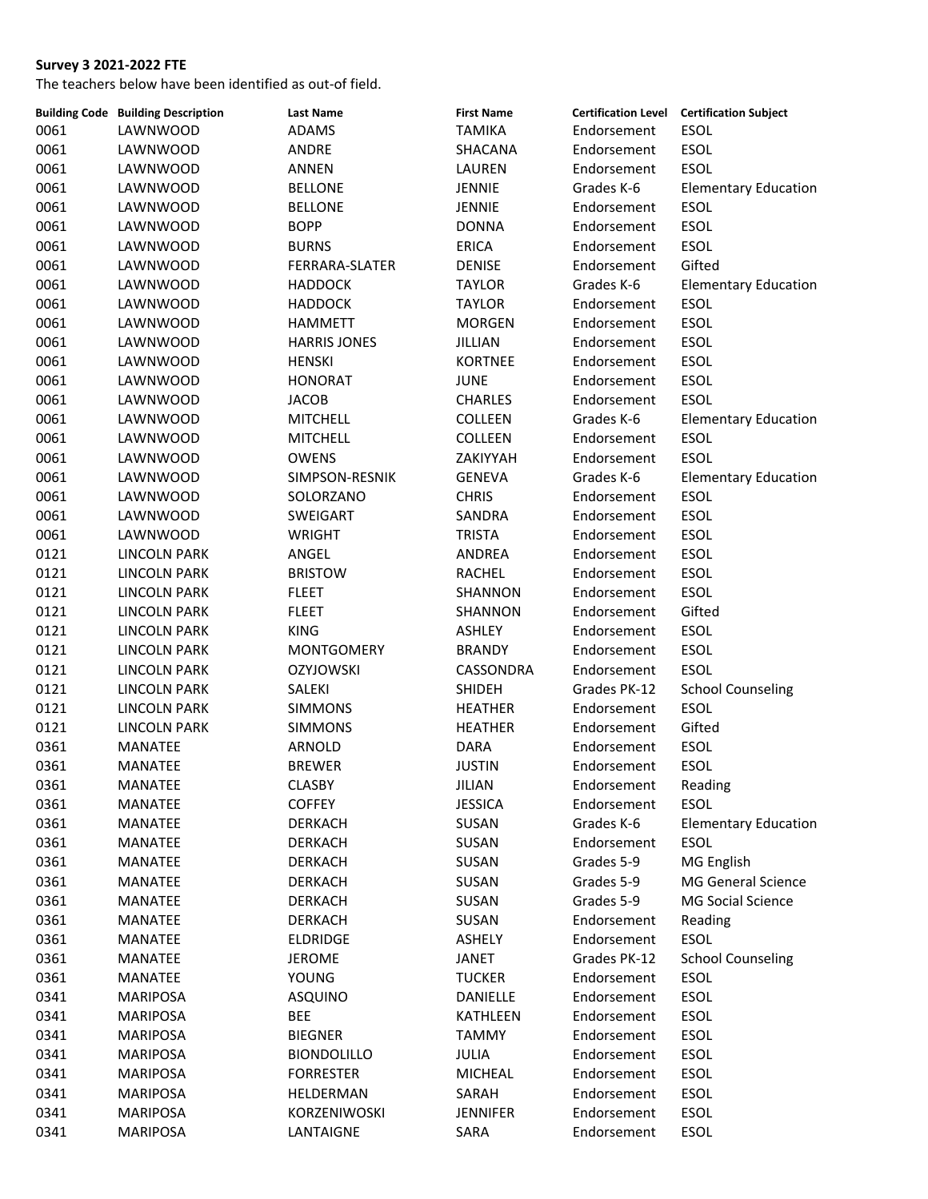|      | <b>Building Code Building Description</b> | <b>Last Name</b>    | <b>First Name</b> |              | Certification Level Certification Subject |
|------|-------------------------------------------|---------------------|-------------------|--------------|-------------------------------------------|
| 0061 | LAWNWOOD                                  | ADAMS               | <b>TAMIKA</b>     | Endorsement  | ESOL                                      |
| 0061 | LAWNWOOD                                  | ANDRE               | SHACANA           | Endorsement  | ESOL                                      |
| 0061 | LAWNWOOD                                  | <b>ANNEN</b>        | LAUREN            | Endorsement  | ESOL                                      |
| 0061 | LAWNWOOD                                  | <b>BELLONE</b>      | JENNIE            | Grades K-6   | <b>Elementary Education</b>               |
| 0061 | LAWNWOOD                                  | <b>BELLONE</b>      | JENNIE            | Endorsement  | ESOL                                      |
| 0061 | LAWNWOOD                                  | <b>BOPP</b>         | <b>DONNA</b>      | Endorsement  | <b>ESOL</b>                               |
| 0061 | LAWNWOOD                                  | <b>BURNS</b>        | <b>ERICA</b>      | Endorsement  | <b>ESOL</b>                               |
| 0061 | LAWNWOOD                                  | FERRARA-SLATER      | <b>DENISE</b>     | Endorsement  | Gifted                                    |
| 0061 | LAWNWOOD                                  | <b>HADDOCK</b>      | <b>TAYLOR</b>     | Grades K-6   | <b>Elementary Education</b>               |
| 0061 | LAWNWOOD                                  | <b>HADDOCK</b>      | <b>TAYLOR</b>     | Endorsement  | ESOL                                      |
| 0061 | LAWNWOOD                                  | <b>HAMMETT</b>      | <b>MORGEN</b>     | Endorsement  | ESOL                                      |
| 0061 | LAWNWOOD                                  | <b>HARRIS JONES</b> | JILLIAN           | Endorsement  | <b>ESOL</b>                               |
| 0061 | LAWNWOOD                                  | <b>HENSKI</b>       | <b>KORTNEE</b>    | Endorsement  | <b>ESOL</b>                               |
| 0061 | LAWNWOOD                                  | <b>HONORAT</b>      | <b>JUNE</b>       | Endorsement  | <b>ESOL</b>                               |
| 0061 | LAWNWOOD                                  | <b>JACOB</b>        | <b>CHARLES</b>    | Endorsement  | <b>ESOL</b>                               |
| 0061 | LAWNWOOD                                  | <b>MITCHELL</b>     | <b>COLLEEN</b>    | Grades K-6   | <b>Elementary Education</b>               |
| 0061 | LAWNWOOD                                  | <b>MITCHELL</b>     | COLLEEN           | Endorsement  | ESOL                                      |
| 0061 | LAWNWOOD                                  | <b>OWENS</b>        | ZAKIYYAH          | Endorsement  | ESOL                                      |
| 0061 | LAWNWOOD                                  | SIMPSON-RESNIK      | <b>GENEVA</b>     | Grades K-6   | <b>Elementary Education</b>               |
| 0061 | LAWNWOOD                                  | SOLORZANO           | <b>CHRIS</b>      | Endorsement  | <b>ESOL</b>                               |
| 0061 | LAWNWOOD                                  | SWEIGART            | SANDRA            | Endorsement  | ESOL                                      |
|      |                                           |                     |                   |              |                                           |
| 0061 | LAWNWOOD                                  | <b>WRIGHT</b>       | <b>TRISTA</b>     | Endorsement  | <b>ESOL</b>                               |
| 0121 | <b>LINCOLN PARK</b>                       | ANGEL               | ANDREA            | Endorsement  | <b>ESOL</b>                               |
| 0121 | <b>LINCOLN PARK</b>                       | <b>BRISTOW</b>      | RACHEL            | Endorsement  | <b>ESOL</b>                               |
| 0121 | <b>LINCOLN PARK</b>                       | <b>FLEET</b>        | SHANNON           | Endorsement  | <b>ESOL</b>                               |
| 0121 | <b>LINCOLN PARK</b>                       | <b>FLEET</b>        | SHANNON           | Endorsement  | Gifted                                    |
| 0121 | <b>LINCOLN PARK</b>                       | <b>KING</b>         | ASHLEY            | Endorsement  | ESOL                                      |
| 0121 | <b>LINCOLN PARK</b>                       | <b>MONTGOMERY</b>   | <b>BRANDY</b>     | Endorsement  | ESOL                                      |
| 0121 | <b>LINCOLN PARK</b>                       | <b>OZYJOWSKI</b>    | CASSONDRA         | Endorsement  | ESOL                                      |
| 0121 | <b>LINCOLN PARK</b>                       | SALEKI              | SHIDEH            | Grades PK-12 | <b>School Counseling</b>                  |
| 0121 | <b>LINCOLN PARK</b>                       | <b>SIMMONS</b>      | <b>HEATHER</b>    | Endorsement  | <b>ESOL</b>                               |
| 0121 | <b>LINCOLN PARK</b>                       | <b>SIMMONS</b>      | <b>HEATHER</b>    | Endorsement  | Gifted                                    |
| 0361 | MANATEE                                   | ARNOLD              | <b>DARA</b>       | Endorsement  | <b>ESOL</b>                               |
| 0361 | MANATEE                                   | <b>BREWER</b>       | <b>JUSTIN</b>     | Endorsement  | <b>ESOL</b>                               |
| 0361 | MANATEE                                   | CLASBY              | JILIAN            | Endorsement  | Reading                                   |
| 0361 | MANATEE                                   | <b>COFFEY</b>       | <b>JESSICA</b>    | Endorsement  | <b>ESOL</b>                               |
| 0361 | <b>MANATEE</b>                            | <b>DERKACH</b>      | SUSAN             | Grades K-6   | <b>Elementary Education</b>               |
| 0361 | MANATEE                                   | <b>DERKACH</b>      | SUSAN             | Endorsement  | <b>ESOL</b>                               |
| 0361 | <b>MANATEE</b>                            | <b>DERKACH</b>      | SUSAN             | Grades 5-9   | MG English                                |
| 0361 | <b>MANATEE</b>                            | <b>DERKACH</b>      | SUSAN             | Grades 5-9   | MG General Science                        |
| 0361 | <b>MANATEE</b>                            | <b>DERKACH</b>      | SUSAN             | Grades 5-9   | <b>MG Social Science</b>                  |
| 0361 | MANATEE                                   | <b>DERKACH</b>      | SUSAN             | Endorsement  | Reading                                   |
| 0361 | MANATEE                                   | <b>ELDRIDGE</b>     | ASHELY            | Endorsement  | <b>ESOL</b>                               |
| 0361 | MANATEE                                   | <b>JEROME</b>       | JANET             | Grades PK-12 | <b>School Counseling</b>                  |
| 0361 | <b>MANATEE</b>                            | <b>YOUNG</b>        | <b>TUCKER</b>     | Endorsement  | <b>ESOL</b>                               |
| 0341 | <b>MARIPOSA</b>                           | <b>ASQUINO</b>      | DANIELLE          | Endorsement  | <b>ESOL</b>                               |
| 0341 | <b>MARIPOSA</b>                           | <b>BEE</b>          | KATHLEEN          | Endorsement  | <b>ESOL</b>                               |
| 0341 | <b>MARIPOSA</b>                           | <b>BIEGNER</b>      | <b>TAMMY</b>      | Endorsement  | <b>ESOL</b>                               |
| 0341 | <b>MARIPOSA</b>                           | <b>BIONDOLILLO</b>  | JULIA             | Endorsement  | <b>ESOL</b>                               |
| 0341 | <b>MARIPOSA</b>                           | <b>FORRESTER</b>    | <b>MICHEAL</b>    | Endorsement  | ESOL                                      |
| 0341 | <b>MARIPOSA</b>                           | HELDERMAN           | SARAH             | Endorsement  | ESOL                                      |
| 0341 | <b>MARIPOSA</b>                           | KORZENIWOSKI        | <b>JENNIFER</b>   | Endorsement  | ESOL                                      |
| 0341 | MARIPOSA                                  | LANTAIGNE           | SARA              | Endorsement  | ESOL                                      |
|      |                                           |                     |                   |              |                                           |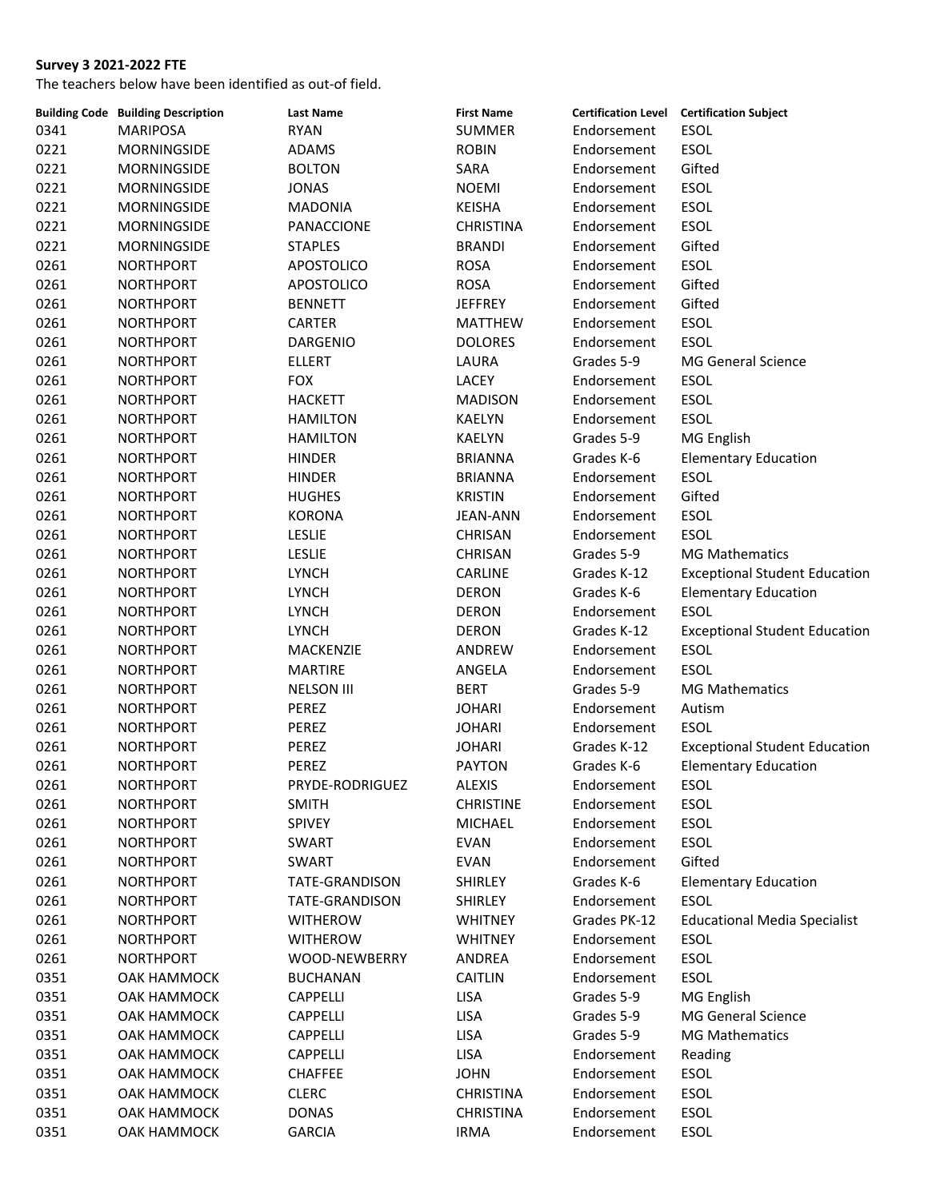|              | <b>Building Code Building Description</b> | <b>Last Name</b>                        | <b>First Name</b> |              | <b>Certification Level Certification Subject</b> |
|--------------|-------------------------------------------|-----------------------------------------|-------------------|--------------|--------------------------------------------------|
| 0341         | <b>MARIPOSA</b>                           | <b>RYAN</b>                             | <b>SUMMER</b>     | Endorsement  | ESOL                                             |
| 0221         | <b>MORNINGSIDE</b>                        | <b>ADAMS</b>                            | <b>ROBIN</b>      | Endorsement  | <b>ESOL</b>                                      |
| 0221         | MORNINGSIDE                               | <b>BOLTON</b>                           | SARA              | Endorsement  | Gifted                                           |
| 0221         | MORNINGSIDE                               | <b>JONAS</b>                            | <b>NOEMI</b>      | Endorsement  | ESOL                                             |
| 0221         | <b>MORNINGSIDE</b>                        | <b>MADONIA</b>                          | <b>KEISHA</b>     | Endorsement  | ESOL                                             |
| 0221         | <b>MORNINGSIDE</b>                        | PANACCIONE                              | <b>CHRISTINA</b>  | Endorsement  | ESOL                                             |
| 0221         | MORNINGSIDE                               | <b>STAPLES</b>                          | <b>BRANDI</b>     | Endorsement  | Gifted                                           |
| 0261         | <b>NORTHPORT</b>                          | <b>APOSTOLICO</b>                       | <b>ROSA</b>       | Endorsement  | ESOL                                             |
| 0261         | <b>NORTHPORT</b>                          | <b>APOSTOLICO</b>                       | <b>ROSA</b>       | Endorsement  | Gifted                                           |
| 0261         | <b>NORTHPORT</b>                          | <b>BENNETT</b>                          | <b>JEFFREY</b>    | Endorsement  | Gifted                                           |
| 0261         | <b>NORTHPORT</b>                          | <b>CARTER</b>                           | <b>MATTHEW</b>    | Endorsement  | ESOL                                             |
| 0261         | <b>NORTHPORT</b>                          | DARGENIO                                | <b>DOLORES</b>    | Endorsement  | <b>ESOL</b>                                      |
| 0261         | <b>NORTHPORT</b>                          | <b>ELLERT</b>                           | LAURA             | Grades 5-9   | <b>MG General Science</b>                        |
| 0261         | <b>NORTHPORT</b>                          | <b>FOX</b>                              | LACEY             | Endorsement  | ESOL                                             |
| 0261         | <b>NORTHPORT</b>                          | <b>HACKETT</b>                          | <b>MADISON</b>    | Endorsement  | ESOL                                             |
| 0261         | <b>NORTHPORT</b>                          | <b>HAMILTON</b>                         | <b>KAELYN</b>     | Endorsement  | ESOL                                             |
| 0261         | <b>NORTHPORT</b>                          | <b>HAMILTON</b>                         | KAELYN            | Grades 5-9   | MG English                                       |
| 0261         | <b>NORTHPORT</b>                          | <b>HINDER</b>                           | <b>BRIANNA</b>    | Grades K-6   | <b>Elementary Education</b>                      |
| 0261         | <b>NORTHPORT</b>                          | <b>HINDER</b>                           | <b>BRIANNA</b>    | Endorsement  | <b>ESOL</b>                                      |
| 0261         | <b>NORTHPORT</b>                          | <b>HUGHES</b>                           | <b>KRISTIN</b>    | Endorsement  | Gifted                                           |
| 0261         | <b>NORTHPORT</b>                          | KORONA                                  | JEAN-ANN          | Endorsement  | ESOL                                             |
| 0261         | <b>NORTHPORT</b>                          | <b>LESLIE</b>                           | CHRISAN           | Endorsement  | <b>ESOL</b>                                      |
| 0261         | <b>NORTHPORT</b>                          | <b>LESLIE</b>                           | <b>CHRISAN</b>    | Grades 5-9   | <b>MG Mathematics</b>                            |
| 0261         | <b>NORTHPORT</b>                          | <b>LYNCH</b>                            | CARLINE           | Grades K-12  | <b>Exceptional Student Education</b>             |
| 0261         | <b>NORTHPORT</b>                          | <b>LYNCH</b>                            | <b>DERON</b>      | Grades K-6   | <b>Elementary Education</b>                      |
| 0261         | <b>NORTHPORT</b>                          | <b>LYNCH</b>                            | <b>DERON</b>      | Endorsement  | ESOL                                             |
| 0261         | <b>NORTHPORT</b>                          | <b>LYNCH</b>                            | <b>DERON</b>      | Grades K-12  | <b>Exceptional Student Education</b>             |
| 0261         | <b>NORTHPORT</b>                          | MACKENZIE                               | ANDREW            | Endorsement  | <b>ESOL</b>                                      |
| 0261         | <b>NORTHPORT</b>                          | <b>MARTIRE</b>                          | ANGELA            | Endorsement  | <b>ESOL</b>                                      |
| 0261         | NORTHPORT                                 | <b>NELSON III</b>                       | <b>BERT</b>       | Grades 5-9   | <b>MG Mathematics</b>                            |
| 0261         | <b>NORTHPORT</b>                          | PEREZ                                   | <b>JOHARI</b>     | Endorsement  | Autism                                           |
| 0261         | <b>NORTHPORT</b>                          | PEREZ                                   | <b>JOHARI</b>     | Endorsement  | <b>ESOL</b>                                      |
| 0261         | <b>NORTHPORT</b>                          | PEREZ                                   | <b>JOHARI</b>     | Grades K-12  | <b>Exceptional Student Education</b>             |
| 0261         | <b>NORTHPORT</b>                          | PEREZ                                   | <b>PAYTON</b>     | Grades K-6   | <b>Elementary Education</b>                      |
| 0261         | <b>NORTHPORT</b>                          | PRYDE-RODRIGUEZ                         | <b>ALEXIS</b>     | Endorsement  | ESOL                                             |
| 0261         | <b>NORTHPORT</b>                          | <b>SMITH</b>                            | <b>CHRISTINE</b>  | Endorsement  | ESOL                                             |
| 0261         | NORTHPORT                                 | SPIVEY                                  | MICHAEL           | Endorsement  | <b>ESOL</b>                                      |
| 0261         | <b>NORTHPORT</b>                          | <b>SWART</b>                            | <b>EVAN</b>       | Endorsement  | ESOL                                             |
| 0261         | <b>NORTHPORT</b>                          | <b>SWART</b>                            | <b>EVAN</b>       | Endorsement  | Gifted                                           |
| 0261         | <b>NORTHPORT</b>                          | <b>TATE-GRANDISON</b>                   | <b>SHIRLEY</b>    | Grades K-6   | <b>Elementary Education</b>                      |
|              | <b>NORTHPORT</b>                          | TATE-GRANDISON                          |                   | Endorsement  | ESOL                                             |
| 0261<br>0261 |                                           |                                         | <b>SHIRLEY</b>    |              | <b>Educational Media Specialist</b>              |
|              | <b>NORTHPORT</b>                          | <b>WITHEROW</b>                         | <b>WHITNEY</b>    | Grades PK-12 | <b>ESOL</b>                                      |
| 0261         | <b>NORTHPORT</b>                          | <b>WITHEROW</b><br><b>WOOD-NEWBERRY</b> | <b>WHITNEY</b>    | Endorsement  | <b>ESOL</b>                                      |
| 0261         | <b>NORTHPORT</b>                          |                                         | ANDREA            | Endorsement  | <b>ESOL</b>                                      |
| 0351         | OAK HAMMOCK                               | <b>BUCHANAN</b>                         | <b>CAITLIN</b>    | Endorsement  |                                                  |
| 0351         | OAK HAMMOCK                               | <b>CAPPELLI</b>                         | <b>LISA</b>       | Grades 5-9   | MG English                                       |
| 0351         | OAK HAMMOCK                               | <b>CAPPELLI</b>                         | LISA              | Grades 5-9   | <b>MG General Science</b>                        |
| 0351         | OAK HAMMOCK                               | CAPPELLI                                | <b>LISA</b>       | Grades 5-9   | <b>MG Mathematics</b>                            |
| 0351         | OAK HAMMOCK                               | <b>CAPPELLI</b>                         | <b>LISA</b>       | Endorsement  | Reading                                          |
| 0351         | OAK HAMMOCK                               | <b>CHAFFEE</b>                          | <b>JOHN</b>       | Endorsement  | ESOL                                             |
| 0351         | OAK HAMMOCK                               | <b>CLERC</b>                            | <b>CHRISTINA</b>  | Endorsement  | ESOL                                             |
| 0351         | OAK HAMMOCK                               | <b>DONAS</b>                            | <b>CHRISTINA</b>  | Endorsement  | ESOL                                             |
| 0351         | OAK HAMMOCK                               | <b>GARCIA</b>                           | <b>IRMA</b>       | Endorsement  | ESOL                                             |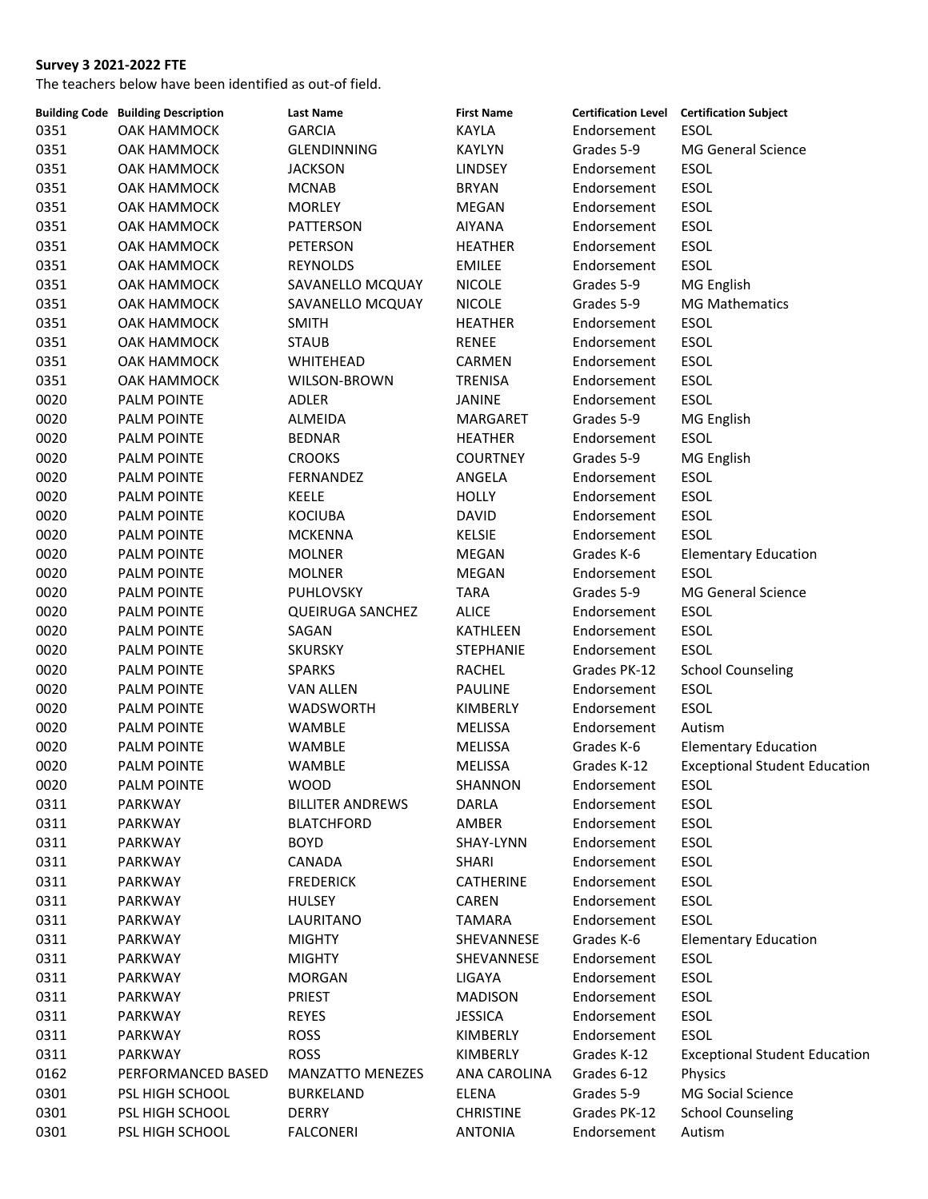|      | <b>Building Code Building Description</b> | <b>Last Name</b>        | <b>First Name</b>   | <b>Certification Level</b> | <b>Certification Subject</b>         |
|------|-------------------------------------------|-------------------------|---------------------|----------------------------|--------------------------------------|
| 0351 | OAK HAMMOCK                               | <b>GARCIA</b>           | <b>KAYLA</b>        | Endorsement                | <b>ESOL</b>                          |
| 0351 | <b>OAK HAMMOCK</b>                        | <b>GLENDINNING</b>      | <b>KAYLYN</b>       | Grades 5-9                 | MG General Science                   |
| 0351 | OAK HAMMOCK                               | <b>JACKSON</b>          | <b>LINDSEY</b>      | Endorsement                | ESOL                                 |
| 0351 | OAK HAMMOCK                               | <b>MCNAB</b>            | <b>BRYAN</b>        | Endorsement                | <b>ESOL</b>                          |
| 0351 | OAK HAMMOCK                               | <b>MORLEY</b>           | MEGAN               | Endorsement                | ESOL                                 |
| 0351 | OAK HAMMOCK                               | PATTERSON               | <b>AIYANA</b>       | Endorsement                | ESOL                                 |
| 0351 | OAK HAMMOCK                               | PETERSON                | <b>HEATHER</b>      | Endorsement                | ESOL                                 |
| 0351 | OAK HAMMOCK                               | REYNOLDS                | <b>EMILEE</b>       | Endorsement                | <b>ESOL</b>                          |
| 0351 | OAK HAMMOCK                               | SAVANELLO MCQUAY        | <b>NICOLE</b>       | Grades 5-9                 | MG English                           |
| 0351 | OAK HAMMOCK                               | SAVANELLO MCQUAY        | <b>NICOLE</b>       | Grades 5-9                 | <b>MG Mathematics</b>                |
| 0351 | OAK HAMMOCK                               | <b>SMITH</b>            | <b>HEATHER</b>      | Endorsement                | ESOL                                 |
| 0351 | OAK HAMMOCK                               | <b>STAUB</b>            | <b>RENEE</b>        | Endorsement                | <b>ESOL</b>                          |
| 0351 | OAK HAMMOCK                               | WHITEHEAD               | CARMEN              | Endorsement                | <b>ESOL</b>                          |
| 0351 | OAK HAMMOCK                               | WILSON-BROWN            | TRENISA             | Endorsement                | <b>ESOL</b>                          |
| 0020 | <b>PALM POINTE</b>                        | <b>ADLER</b>            | JANINE              | Endorsement                | ESOL                                 |
| 0020 | <b>PALM POINTE</b>                        | <b>ALMEIDA</b>          | MARGARET            | Grades 5-9                 | MG English                           |
| 0020 | PALM POINTE                               | <b>BEDNAR</b>           | <b>HEATHER</b>      | Endorsement                | ESOL                                 |
| 0020 | PALM POINTE                               | <b>CROOKS</b>           | <b>COURTNEY</b>     | Grades 5-9                 | MG English                           |
| 0020 | <b>PALM POINTE</b>                        | FERNANDEZ               | ANGELA              | Endorsement                | ESOL                                 |
| 0020 | PALM POINTE                               | KEELE                   | <b>HOLLY</b>        | Endorsement                | ESOL                                 |
| 0020 | <b>PALM POINTE</b>                        | <b>KOCIUBA</b>          | <b>DAVID</b>        | Endorsement                | ESOL                                 |
| 0020 | PALM POINTE                               | <b>MCKENNA</b>          | <b>KELSIE</b>       | Endorsement                | ESOL                                 |
| 0020 | <b>PALM POINTE</b>                        | <b>MOLNER</b>           | MEGAN               | Grades K-6                 | <b>Elementary Education</b>          |
| 0020 | <b>PALM POINTE</b>                        | <b>MOLNER</b>           | MEGAN               | Endorsement                | <b>ESOL</b>                          |
| 0020 | PALM POINTE                               | <b>PUHLOVSKY</b>        | <b>TARA</b>         | Grades 5-9                 | <b>MG General Science</b>            |
| 0020 | <b>PALM POINTE</b>                        | <b>QUEIRUGA SANCHEZ</b> | <b>ALICE</b>        | Endorsement                | ESOL                                 |
| 0020 | <b>PALM POINTE</b>                        | SAGAN                   | KATHLEEN            | Endorsement                | ESOL                                 |
| 0020 | PALM POINTE                               | <b>SKURSKY</b>          | STEPHANIE           | Endorsement                | <b>ESOL</b>                          |
| 0020 | <b>PALM POINTE</b>                        | <b>SPARKS</b>           | RACHEL              | Grades PK-12               | <b>School Counseling</b>             |
| 0020 | PALM POINTE                               | <b>VAN ALLEN</b>        | PAULINE             | Endorsement                | ESOL                                 |
| 0020 | <b>PALM POINTE</b>                        | <b>WADSWORTH</b>        | KIMBERLY            | Endorsement                | ESOL                                 |
| 0020 | <b>PALM POINTE</b>                        | WAMBLE                  | MELISSA             | Endorsement                | Autism                               |
| 0020 | <b>PALM POINTE</b>                        | WAMBLE                  | MELISSA             | Grades K-6                 | <b>Elementary Education</b>          |
| 0020 | <b>PALM POINTE</b>                        | <b>WAMBLE</b>           | MELISSA             | Grades K-12                | <b>Exceptional Student Education</b> |
| 0020 | <b>PALM POINTE</b>                        | <b>WOOD</b>             | SHANNON             | Endorsement                | <b>ESOL</b>                          |
| 0311 | PARKWAY                                   | <b>BILLITER ANDREWS</b> | DARLA               | Endorsement                | ESOL                                 |
| 0311 | PARKWAY                                   | <b>BLATCHFORD</b>       | AMBER               | Endorsement                | <b>ESOL</b>                          |
| 0311 | PARKWAY                                   | <b>BOYD</b>             | SHAY-LYNN           | Endorsement                | ESOL                                 |
| 0311 | PARKWAY                                   | CANADA                  | <b>SHARI</b>        | Endorsement                | ESOL                                 |
| 0311 | PARKWAY                                   | <b>FREDERICK</b>        | CATHERINE           | Endorsement                | ESOL                                 |
| 0311 | PARKWAY                                   | <b>HULSEY</b>           | CAREN               | Endorsement                | ESOL                                 |
| 0311 | PARKWAY                                   | LAURITANO               | <b>TAMARA</b>       | Endorsement                | ESOL                                 |
| 0311 | PARKWAY                                   | <b>MIGHTY</b>           | SHEVANNESE          | Grades K-6                 | <b>Elementary Education</b>          |
| 0311 | PARKWAY                                   | <b>MIGHTY</b>           | SHEVANNESE          | Endorsement                | ESOL                                 |
| 0311 | PARKWAY                                   | <b>MORGAN</b>           | LIGAYA              | Endorsement                | ESOL                                 |
| 0311 | PARKWAY                                   | PRIEST                  | <b>MADISON</b>      | Endorsement                | ESOL                                 |
| 0311 | PARKWAY                                   | <b>REYES</b>            | <b>JESSICA</b>      | Endorsement                | ESOL                                 |
| 0311 | PARKWAY                                   | <b>ROSS</b>             | KIMBERLY            | Endorsement                | ESOL                                 |
| 0311 | PARKWAY                                   | <b>ROSS</b>             | KIMBERLY            | Grades K-12                | <b>Exceptional Student Education</b> |
| 0162 | PERFORMANCED BASED                        | <b>MANZATTO MENEZES</b> | <b>ANA CAROLINA</b> | Grades 6-12                | Physics                              |
| 0301 | PSL HIGH SCHOOL                           | <b>BURKELAND</b>        | ELENA               | Grades 5-9                 | MG Social Science                    |
| 0301 | PSL HIGH SCHOOL                           | DERRY                   | <b>CHRISTINE</b>    | Grades PK-12               | <b>School Counseling</b>             |
| 0301 | PSL HIGH SCHOOL                           | <b>FALCONERI</b>        | <b>ANTONIA</b>      | Endorsement                | Autism                               |
|      |                                           |                         |                     |                            |                                      |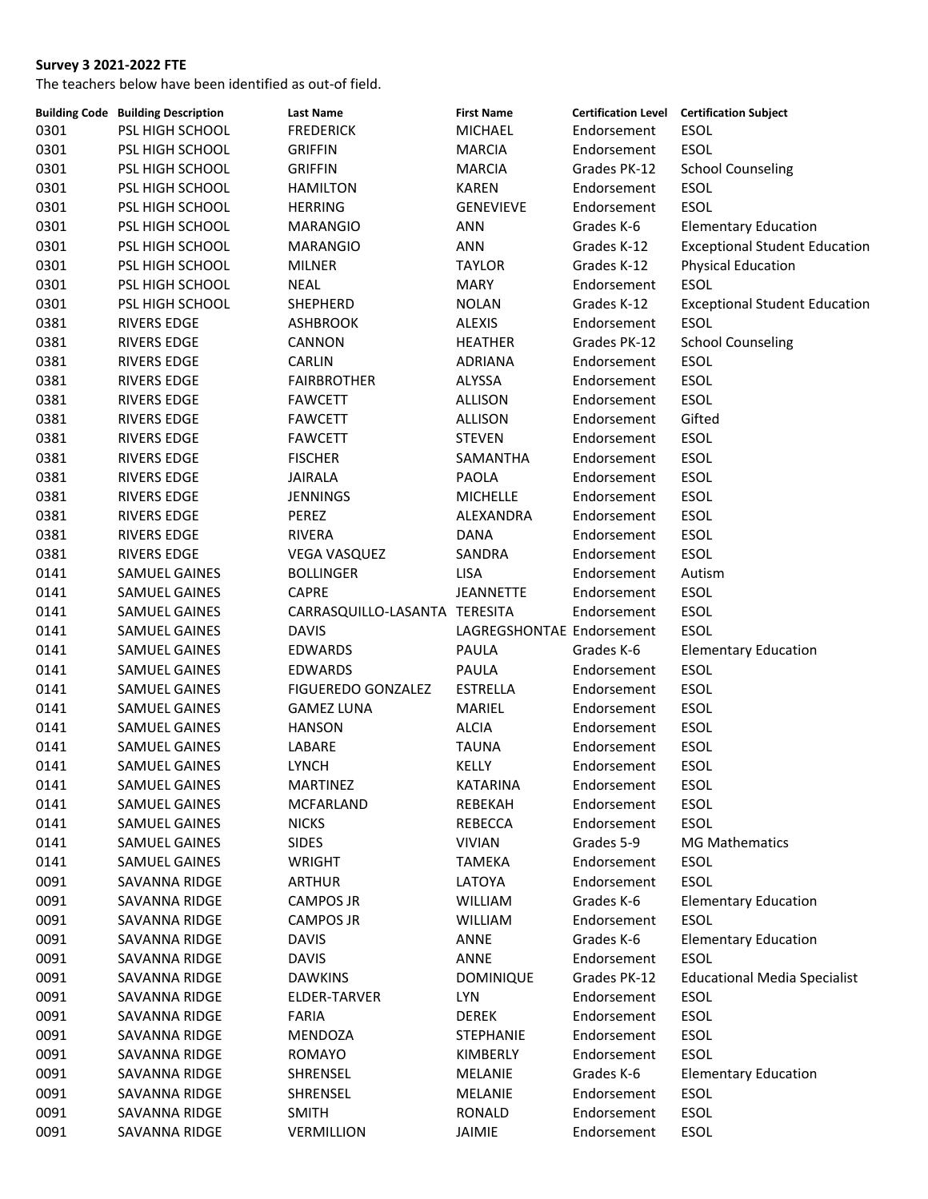|      | <b>Building Code Building Description</b> | <b>Last Name</b>              | <b>First Name</b>         |              | Certification Level Certification Subject |
|------|-------------------------------------------|-------------------------------|---------------------------|--------------|-------------------------------------------|
| 0301 | PSL HIGH SCHOOL                           | <b>FREDERICK</b>              | MICHAEL                   | Endorsement  | ESOL                                      |
| 0301 | PSL HIGH SCHOOL                           | <b>GRIFFIN</b>                | <b>MARCIA</b>             | Endorsement  | ESOL                                      |
| 0301 | PSL HIGH SCHOOL                           | <b>GRIFFIN</b>                | <b>MARCIA</b>             | Grades PK-12 | <b>School Counseling</b>                  |
| 0301 | PSL HIGH SCHOOL                           | <b>HAMILTON</b>               | <b>KAREN</b>              | Endorsement  | ESOL                                      |
| 0301 | PSL HIGH SCHOOL                           | <b>HERRING</b>                | <b>GENEVIEVE</b>          | Endorsement  | <b>ESOL</b>                               |
| 0301 | PSL HIGH SCHOOL                           | <b>MARANGIO</b>               | ANN                       | Grades K-6   | <b>Elementary Education</b>               |
| 0301 | PSL HIGH SCHOOL                           | <b>MARANGIO</b>               | <b>ANN</b>                | Grades K-12  | <b>Exceptional Student Education</b>      |
| 0301 | PSL HIGH SCHOOL                           | <b>MILNER</b>                 | <b>TAYLOR</b>             | Grades K-12  | <b>Physical Education</b>                 |
| 0301 | PSL HIGH SCHOOL                           | <b>NEAL</b>                   | <b>MARY</b>               | Endorsement  | ESOL                                      |
| 0301 | <b>PSL HIGH SCHOOL</b>                    | SHEPHERD                      | <b>NOLAN</b>              | Grades K-12  | <b>Exceptional Student Education</b>      |
| 0381 | <b>RIVERS EDGE</b>                        | <b>ASHBROOK</b>               | <b>ALEXIS</b>             | Endorsement  | ESOL                                      |
| 0381 | RIVERS EDGE                               | CANNON                        | <b>HEATHER</b>            | Grades PK-12 | <b>School Counseling</b>                  |
| 0381 | <b>RIVERS EDGE</b>                        | CARLIN                        | <b>ADRIANA</b>            | Endorsement  | ESOL                                      |
| 0381 | RIVERS EDGE                               | <b>FAIRBROTHER</b>            | ALYSSA                    | Endorsement  | <b>ESOL</b>                               |
| 0381 | RIVERS EDGE                               | <b>FAWCETT</b>                | <b>ALLISON</b>            | Endorsement  | <b>ESOL</b>                               |
| 0381 | <b>RIVERS EDGE</b>                        | <b>FAWCETT</b>                | ALLISON                   | Endorsement  | Gifted                                    |
| 0381 | RIVERS EDGE                               | <b>FAWCETT</b>                | <b>STEVEN</b>             | Endorsement  | ESOL                                      |
| 0381 | <b>RIVERS EDGE</b>                        | <b>FISCHER</b>                | SAMANTHA                  | Endorsement  | ESOL                                      |
| 0381 | <b>RIVERS EDGE</b>                        | <b>JAIRALA</b>                | PAOLA                     | Endorsement  | ESOL                                      |
| 0381 | <b>RIVERS EDGE</b>                        | <b>JENNINGS</b>               | <b>MICHELLE</b>           | Endorsement  | ESOL                                      |
| 0381 | RIVERS EDGE                               | PEREZ                         | ALEXANDRA                 | Endorsement  | <b>ESOL</b>                               |
|      |                                           | RIVERA                        |                           | Endorsement  | ESOL                                      |
| 0381 | <b>RIVERS EDGE</b>                        |                               | DANA                      |              |                                           |
| 0381 | <b>RIVERS EDGE</b>                        | <b>VEGA VASQUEZ</b>           | SANDRA                    | Endorsement  | <b>ESOL</b>                               |
| 0141 | SAMUEL GAINES                             | <b>BOLLINGER</b>              | <b>LISA</b>               | Endorsement  | Autism                                    |
| 0141 | SAMUEL GAINES                             | CAPRE                         | <b>JEANNETTE</b>          | Endorsement  | ESOL                                      |
| 0141 | SAMUEL GAINES                             | CARRASQUILLO-LASANTA TERESITA |                           | Endorsement  | ESOL                                      |
| 0141 | SAMUEL GAINES                             | <b>DAVIS</b>                  | LAGREGSHONTAE Endorsement |              | <b>ESOL</b>                               |
| 0141 | SAMUEL GAINES                             | <b>EDWARDS</b>                | PAULA                     | Grades K-6   | <b>Elementary Education</b>               |
| 0141 | SAMUEL GAINES                             | EDWARDS                       | PAULA                     | Endorsement  | ESOL                                      |
| 0141 | SAMUEL GAINES                             | <b>FIGUEREDO GONZALEZ</b>     | <b>ESTRELLA</b>           | Endorsement  | ESOL                                      |
| 0141 | SAMUEL GAINES                             | <b>GAMEZ LUNA</b>             | MARIEL                    | Endorsement  | ESOL                                      |
| 0141 | SAMUEL GAINES                             | <b>HANSON</b>                 | <b>ALCIA</b>              | Endorsement  | ESOL                                      |
| 0141 | SAMUEL GAINES                             | LABARE                        | <b>TAUNA</b>              | Endorsement  | ESOL                                      |
| 0141 | <b>SAMUEL GAINES</b>                      | <b>LYNCH</b>                  | KELLY                     | Endorsement  | <b>ESOL</b>                               |
| 0141 | <b>SAMUEL GAINES</b>                      | MARTINEZ                      | KATARINA                  | Endorsement  | ESOL                                      |
| 0141 | SAMUEL GAINES                             | MCFARLAND                     | REBEKAH                   | Endorsement  | ESOL                                      |
| 0141 | SAMUEL GAINES                             | <b>NICKS</b>                  | REBECCA                   | Endorsement  | ESOL                                      |
| 0141 | SAMUEL GAINES                             | <b>SIDES</b>                  | <b>VIVIAN</b>             | Grades 5-9   | <b>MG Mathematics</b>                     |
| 0141 | SAMUEL GAINES                             | WRIGHT                        | TAMEKA                    | Endorsement  | <b>ESOL</b>                               |
| 0091 | SAVANNA RIDGE                             | <b>ARTHUR</b>                 | LATOYA                    | Endorsement  | <b>ESOL</b>                               |
| 0091 | SAVANNA RIDGE                             | <b>CAMPOS JR</b>              | WILLIAM                   | Grades K-6   | <b>Elementary Education</b>               |
| 0091 | SAVANNA RIDGE                             | <b>CAMPOS JR</b>              | <b>WILLIAM</b>            | Endorsement  | <b>ESOL</b>                               |
| 0091 | SAVANNA RIDGE                             | <b>DAVIS</b>                  | ANNE                      | Grades K-6   | <b>Elementary Education</b>               |
| 0091 | SAVANNA RIDGE                             | <b>DAVIS</b>                  | ANNE                      | Endorsement  | <b>ESOL</b>                               |
| 0091 | SAVANNA RIDGE                             | <b>DAWKINS</b>                | <b>DOMINIQUE</b>          | Grades PK-12 | <b>Educational Media Specialist</b>       |
| 0091 | SAVANNA RIDGE                             | ELDER-TARVER                  | <b>LYN</b>                | Endorsement  | ESOL                                      |
| 0091 | SAVANNA RIDGE                             | <b>FARIA</b>                  | <b>DEREK</b>              | Endorsement  | ESOL                                      |
| 0091 | SAVANNA RIDGE                             | MENDOZA                       | <b>STEPHANIE</b>          | Endorsement  | ESOL                                      |
| 0091 | SAVANNA RIDGE                             | ROMAYO                        | KIMBERLY                  | Endorsement  | <b>ESOL</b>                               |
| 0091 | SAVANNA RIDGE                             | SHRENSEL                      | MELANIE                   | Grades K-6   | <b>Elementary Education</b>               |
| 0091 | SAVANNA RIDGE                             | SHRENSEL                      | MELANIE                   | Endorsement  | ESOL                                      |
| 0091 | SAVANNA RIDGE                             | <b>SMITH</b>                  | RONALD                    | Endorsement  | ESOL                                      |
| 0091 | SAVANNA RIDGE                             | VERMILLION                    | JAIMIE                    | Endorsement  | ESOL                                      |
|      |                                           |                               |                           |              |                                           |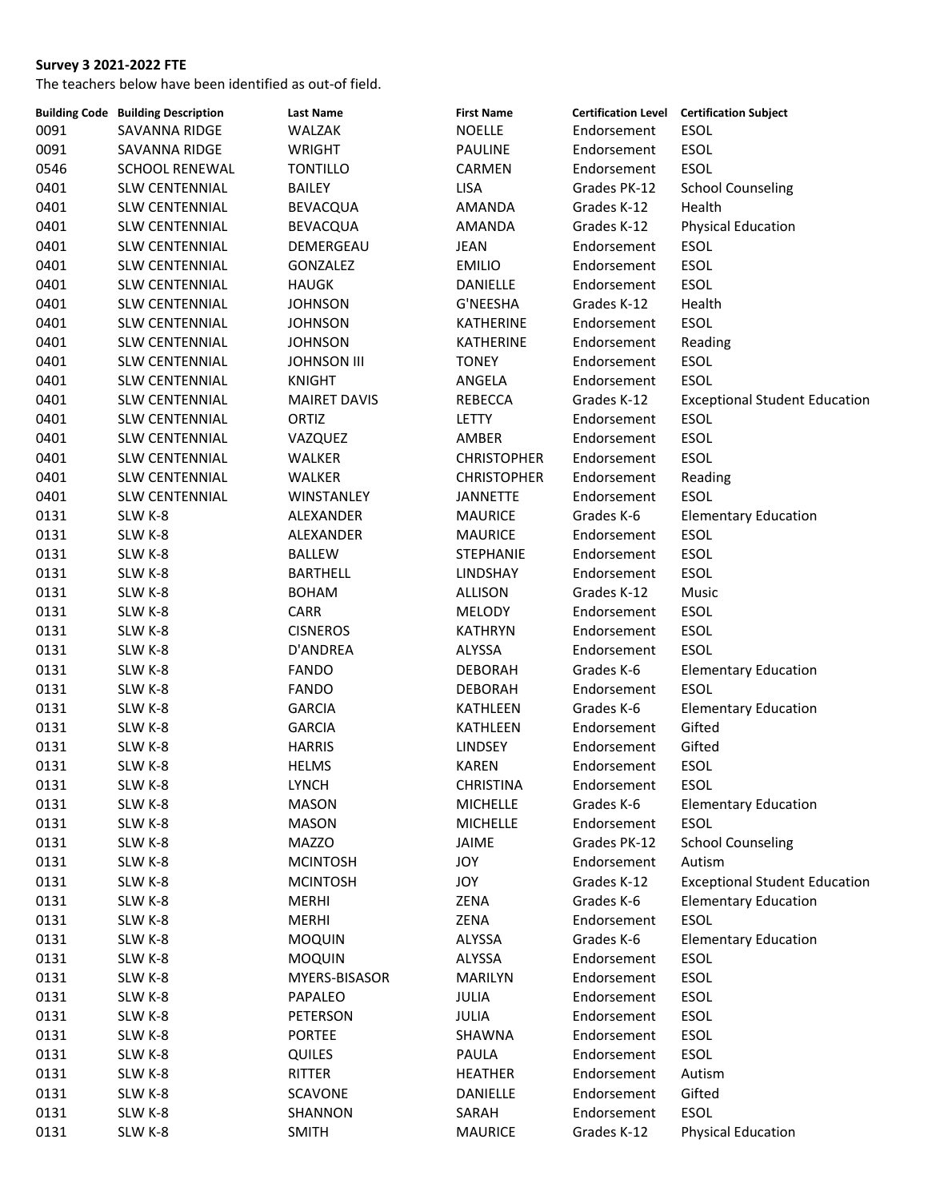|      | <b>Building Code Building Description</b> | <b>Last Name</b>    | <b>First Name</b>  |              | Certification Level Certification Subject |
|------|-------------------------------------------|---------------------|--------------------|--------------|-------------------------------------------|
| 0091 | SAVANNA RIDGE                             | WALZAK              | <b>NOELLE</b>      | Endorsement  | ESOL                                      |
| 0091 | SAVANNA RIDGE                             | <b>WRIGHT</b>       | <b>PAULINE</b>     | Endorsement  | ESOL                                      |
| 0546 | <b>SCHOOL RENEWAL</b>                     | <b>TONTILLO</b>     | CARMEN             | Endorsement  | ESOL                                      |
| 0401 | <b>SLW CENTENNIAL</b>                     | <b>BAILEY</b>       | <b>LISA</b>        | Grades PK-12 | <b>School Counseling</b>                  |
| 0401 | <b>SLW CENTENNIAL</b>                     | BEVACQUA            | AMANDA             | Grades K-12  | Health                                    |
| 0401 | <b>SLW CENTENNIAL</b>                     | <b>BEVACQUA</b>     | AMANDA             | Grades K-12  | <b>Physical Education</b>                 |
| 0401 | <b>SLW CENTENNIAL</b>                     | DEMERGEAU           | <b>JEAN</b>        | Endorsement  | ESOL                                      |
| 0401 | <b>SLW CENTENNIAL</b>                     | GONZALEZ            | <b>EMILIO</b>      | Endorsement  | ESOL                                      |
| 0401 | SLW CENTENNIAL                            | <b>HAUGK</b>        | DANIELLE           | Endorsement  | <b>ESOL</b>                               |
| 0401 | <b>SLW CENTENNIAL</b>                     | <b>JOHNSON</b>      | G'NEESHA           | Grades K-12  | Health                                    |
| 0401 | SLW CENTENNIAL                            | <b>JOHNSON</b>      | KATHERINE          | Endorsement  | ESOL                                      |
| 0401 | <b>SLW CENTENNIAL</b>                     | <b>JOHNSON</b>      | KATHERINE          | Endorsement  | Reading                                   |
| 0401 | <b>SLW CENTENNIAL</b>                     | <b>JOHNSON III</b>  | <b>TONEY</b>       | Endorsement  | ESOL                                      |
| 0401 | <b>SLW CENTENNIAL</b>                     | <b>KNIGHT</b>       | ANGELA             | Endorsement  | <b>ESOL</b>                               |
| 0401 | <b>SLW CENTENNIAL</b>                     | <b>MAIRET DAVIS</b> | REBECCA            | Grades K-12  | <b>Exceptional Student Education</b>      |
| 0401 | <b>SLW CENTENNIAL</b>                     | ORTIZ               | LETTY              | Endorsement  | ESOL                                      |
| 0401 | SLW CENTENNIAL                            | VAZQUEZ             | AMBER              | Endorsement  | <b>ESOL</b>                               |
| 0401 | <b>SLW CENTENNIAL</b>                     | WALKER              | <b>CHRISTOPHER</b> | Endorsement  | <b>ESOL</b>                               |
| 0401 | <b>SLW CENTENNIAL</b>                     | WALKER              | <b>CHRISTOPHER</b> | Endorsement  | Reading                                   |
| 0401 | <b>SLW CENTENNIAL</b>                     | WINSTANLEY          | <b>JANNETTE</b>    | Endorsement  | <b>ESOL</b>                               |
| 0131 |                                           | ALEXANDER           | <b>MAURICE</b>     | Grades K-6   | <b>Elementary Education</b>               |
|      | SLW K-8                                   |                     |                    | Endorsement  | ESOL                                      |
| 0131 | SLW K-8                                   | ALEXANDER           | <b>MAURICE</b>     |              |                                           |
| 0131 | SLW K-8                                   | BALLEW              | <b>STEPHANIE</b>   | Endorsement  | ESOL                                      |
| 0131 | SLW K-8                                   | <b>BARTHELL</b>     | LINDSHAY           | Endorsement  | <b>ESOL</b>                               |
| 0131 | SLW K-8                                   | <b>BOHAM</b>        | ALLISON            | Grades K-12  | Music                                     |
| 0131 | SLW K-8                                   | CARR                | <b>MELODY</b>      | Endorsement  | ESOL                                      |
| 0131 | SLW K-8                                   | <b>CISNEROS</b>     | KATHRYN            | Endorsement  | ESOL                                      |
| 0131 | SLW K-8                                   | D'ANDREA            | ALYSSA             | Endorsement  | ESOL                                      |
| 0131 | SLW K-8                                   | <b>FANDO</b>        | <b>DEBORAH</b>     | Grades K-6   | <b>Elementary Education</b>               |
| 0131 | SLW K-8                                   | <b>FANDO</b>        | <b>DEBORAH</b>     | Endorsement  | <b>ESOL</b>                               |
| 0131 | SLW K-8                                   | <b>GARCIA</b>       | KATHLEEN           | Grades K-6   | <b>Elementary Education</b>               |
| 0131 | SLW K-8                                   | <b>GARCIA</b>       | KATHLEEN           | Endorsement  | Gifted                                    |
| 0131 | SLW K-8                                   | <b>HARRIS</b>       | <b>LINDSEY</b>     | Endorsement  | Gifted                                    |
| 0131 | SLW K-8                                   | <b>HELMS</b>        | <b>KAREN</b>       | Endorsement  | <b>ESOL</b>                               |
| 0131 | SLW K-8                                   | <b>LYNCH</b>        | CHRISTINA          | Endorsement  | <b>ESOL</b>                               |
| 0131 | SLW K-8                                   | <b>MASON</b>        | <b>MICHELLE</b>    | Grades K-6   | <b>Elementary Education</b>               |
| 0131 | SLW K-8                                   | <b>MASON</b>        | <b>MICHELLE</b>    | Endorsement  | ESOL                                      |
| 0131 | SLW K-8                                   | <b>MAZZO</b>        | JAIME              | Grades PK-12 | <b>School Counseling</b>                  |
| 0131 | SLW K-8                                   | <b>MCINTOSH</b>     | JOY                | Endorsement  | Autism                                    |
| 0131 | SLW K-8                                   | <b>MCINTOSH</b>     | JOY                | Grades K-12  | <b>Exceptional Student Education</b>      |
| 0131 | SLW K-8                                   | <b>MERHI</b>        | ZENA               | Grades K-6   | <b>Elementary Education</b>               |
| 0131 | SLW K-8                                   | <b>MERHI</b>        | ZENA               | Endorsement  | ESOL                                      |
| 0131 | SLW K-8                                   | <b>MOQUIN</b>       | ALYSSA             | Grades K-6   | <b>Elementary Education</b>               |
| 0131 | SLW K-8                                   | <b>MOQUIN</b>       | ALYSSA             | Endorsement  | ESOL                                      |
| 0131 | SLW K-8                                   | MYERS-BISASOR       | <b>MARILYN</b>     | Endorsement  | ESOL                                      |
| 0131 | SLW K-8                                   | PAPALEO             | JULIA              | Endorsement  | ESOL                                      |
| 0131 | SLW K-8                                   | PETERSON            | JULIA              | Endorsement  | ESOL                                      |
| 0131 | SLW K-8                                   | <b>PORTEE</b>       | SHAWNA             | Endorsement  | ESOL                                      |
| 0131 | SLW K-8                                   | <b>QUILES</b>       | PAULA              | Endorsement  | ESOL                                      |
| 0131 | SLW K-8                                   | RITTER              | <b>HEATHER</b>     | Endorsement  | Autism                                    |
| 0131 | SLW K-8                                   | <b>SCAVONE</b>      | DANIELLE           | Endorsement  | Gifted                                    |
| 0131 | SLW K-8                                   | SHANNON             | SARAH              | Endorsement  | ESOL                                      |
| 0131 | SLW K-8                                   | <b>SMITH</b>        | <b>MAURICE</b>     | Grades K-12  | <b>Physical Education</b>                 |
|      |                                           |                     |                    |              |                                           |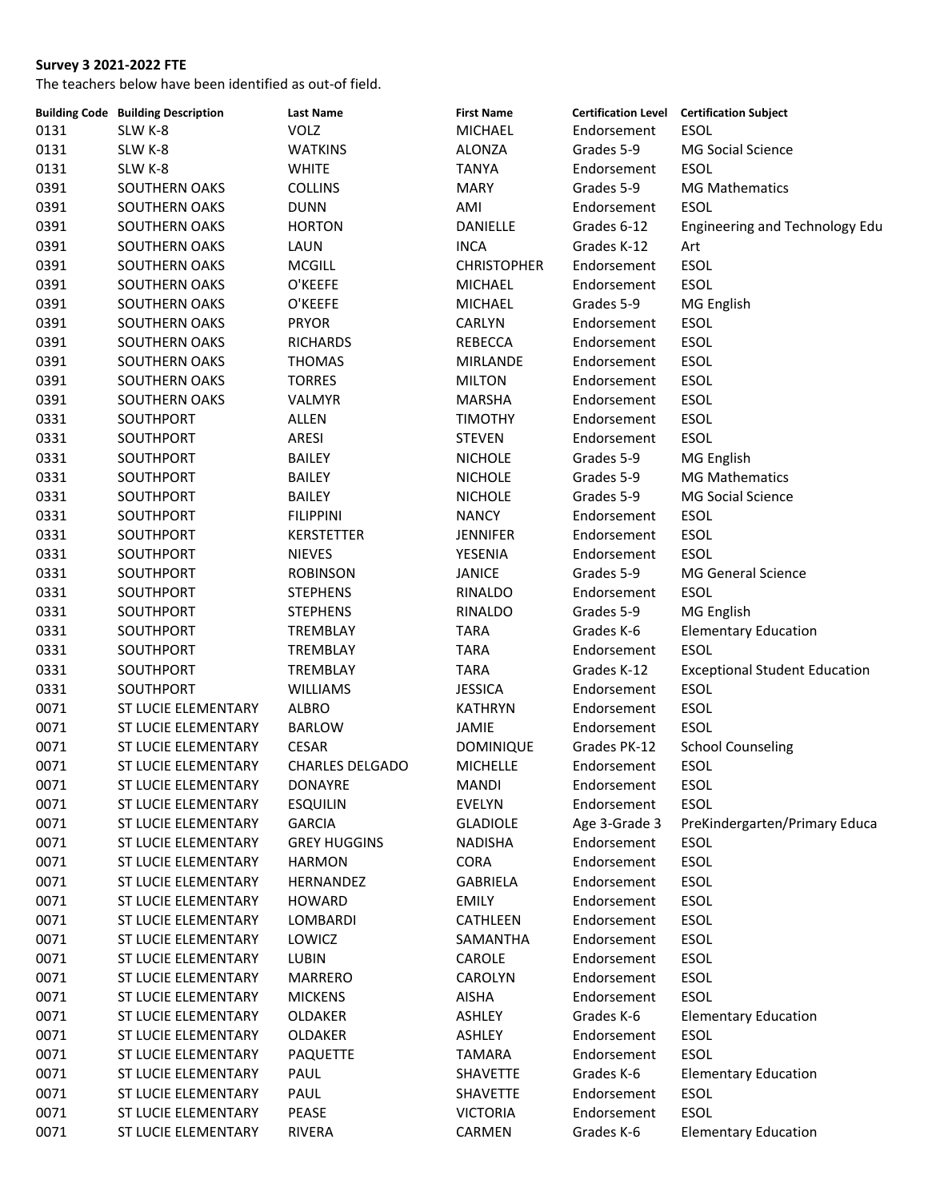|      | <b>Building Code Building Description</b> | <b>Last Name</b>       | <b>First Name</b>  |               | Certification Level Certification Subject |
|------|-------------------------------------------|------------------------|--------------------|---------------|-------------------------------------------|
| 0131 | SLW K-8                                   | <b>VOLZ</b>            | MICHAEL            | Endorsement   | <b>ESOL</b>                               |
| 0131 | SLW K-8                                   | <b>WATKINS</b>         | ALONZA             | Grades 5-9    | MG Social Science                         |
| 0131 | SLW K-8                                   | <b>WHITE</b>           | <b>TANYA</b>       | Endorsement   | <b>ESOL</b>                               |
| 0391 | SOUTHERN OAKS                             | <b>COLLINS</b>         | <b>MARY</b>        | Grades 5-9    | <b>MG Mathematics</b>                     |
| 0391 | <b>SOUTHERN OAKS</b>                      | <b>DUNN</b>            | AMI                | Endorsement   | <b>ESOL</b>                               |
| 0391 | SOUTHERN OAKS                             | <b>HORTON</b>          | DANIELLE           | Grades 6-12   | Engineering and Technology Edu            |
| 0391 | SOUTHERN OAKS                             | LAUN                   | <b>INCA</b>        | Grades K-12   | Art                                       |
| 0391 | SOUTHERN OAKS                             | <b>MCGILL</b>          | <b>CHRISTOPHER</b> | Endorsement   | ESOL                                      |
| 0391 | <b>SOUTHERN OAKS</b>                      | O'KEEFE                | <b>MICHAEL</b>     | Endorsement   | ESOL                                      |
| 0391 | SOUTHERN OAKS                             | O'KEEFE                | <b>MICHAEL</b>     | Grades 5-9    | MG English                                |
| 0391 | SOUTHERN OAKS                             | <b>PRYOR</b>           | CARLYN             | Endorsement   | ESOL                                      |
| 0391 | SOUTHERN OAKS                             | <b>RICHARDS</b>        | REBECCA            | Endorsement   | <b>ESOL</b>                               |
| 0391 | SOUTHERN OAKS                             | <b>THOMAS</b>          | <b>MIRLANDE</b>    | Endorsement   | <b>ESOL</b>                               |
| 0391 | SOUTHERN OAKS                             | <b>TORRES</b>          | <b>MILTON</b>      | Endorsement   | ESOL                                      |
| 0391 | SOUTHERN OAKS                             | <b>VALMYR</b>          | MARSHA             | Endorsement   | ESOL                                      |
| 0331 | SOUTHPORT                                 | ALLEN                  | <b>TIMOTHY</b>     | Endorsement   | ESOL                                      |
| 0331 | SOUTHPORT                                 | ARESI                  | <b>STEVEN</b>      | Endorsement   | ESOL                                      |
| 0331 | SOUTHPORT                                 | <b>BAILEY</b>          | <b>NICHOLE</b>     | Grades 5-9    | MG English                                |
| 0331 | SOUTHPORT                                 | <b>BAILEY</b>          | <b>NICHOLE</b>     | Grades 5-9    | <b>MG Mathematics</b>                     |
| 0331 | SOUTHPORT                                 | BAILEY                 | <b>NICHOLE</b>     | Grades 5-9    | MG Social Science                         |
| 0331 | SOUTHPORT                                 | <b>FILIPPINI</b>       | <b>NANCY</b>       | Endorsement   | <b>ESOL</b>                               |
| 0331 | SOUTHPORT                                 | <b>KERSTETTER</b>      | <b>JENNIFER</b>    | Endorsement   | <b>ESOL</b>                               |
| 0331 | SOUTHPORT                                 | <b>NIEVES</b>          | YESENIA            | Endorsement   | <b>ESOL</b>                               |
| 0331 | SOUTHPORT                                 | <b>ROBINSON</b>        | <b>JANICE</b>      | Grades 5-9    | <b>MG General Science</b>                 |
| 0331 | SOUTHPORT                                 | <b>STEPHENS</b>        | RINALDO            | Endorsement   | ESOL                                      |
| 0331 | SOUTHPORT                                 | <b>STEPHENS</b>        | RINALDO            | Grades 5-9    | MG English                                |
| 0331 | SOUTHPORT                                 | TREMBLAY               | <b>TARA</b>        | Grades K-6    | <b>Elementary Education</b>               |
| 0331 | SOUTHPORT                                 | TREMBLAY               | <b>TARA</b>        | Endorsement   | <b>ESOL</b>                               |
| 0331 | SOUTHPORT                                 | TREMBLAY               | <b>TARA</b>        | Grades K-12   | <b>Exceptional Student Education</b>      |
| 0331 | SOUTHPORT                                 | WILLIAMS               | <b>JESSICA</b>     | Endorsement   | ESOL                                      |
| 0071 | ST LUCIE ELEMENTARY                       | <b>ALBRO</b>           | <b>KATHRYN</b>     | Endorsement   | ESOL                                      |
| 0071 | ST LUCIE ELEMENTARY                       | <b>BARLOW</b>          | JAMIE              | Endorsement   | ESOL                                      |
| 0071 | ST LUCIE ELEMENTARY                       | CESAR                  | <b>DOMINIQUE</b>   | Grades PK-12  | <b>School Counseling</b>                  |
| 0071 | ST LUCIE ELEMENTARY                       | <b>CHARLES DELGADO</b> | <b>MICHELLE</b>    | Endorsement   | ESOL                                      |
| 0071 | ST LUCIE ELEMENTARY                       | <b>DONAYRE</b>         | MANDI              | Endorsement   | ESOL                                      |
| 0071 | ST LUCIE ELEMENTARY                       | <b>ESQUILIN</b>        | <b>EVELYN</b>      | Endorsement   | ESOL                                      |
| 0071 | ST LUCIE ELEMENTARY                       | <b>GARCIA</b>          | <b>GLADIOLE</b>    | Age 3-Grade 3 | PreKindergarten/Primary Educa             |
| 0071 | ST LUCIE ELEMENTARY                       | <b>GREY HUGGINS</b>    | <b>NADISHA</b>     | Endorsement   | ESOL                                      |
| 0071 | ST LUCIE ELEMENTARY                       | <b>HARMON</b>          | CORA               | Endorsement   | ESOL                                      |
| 0071 | ST LUCIE ELEMENTARY                       | HERNANDEZ              | GABRIELA           | Endorsement   | ESOL                                      |
| 0071 | ST LUCIE ELEMENTARY                       | <b>HOWARD</b>          | <b>EMILY</b>       | Endorsement   | ESOL                                      |
| 0071 | ST LUCIE ELEMENTARY                       | LOMBARDI               | CATHLEEN           | Endorsement   | ESOL                                      |
| 0071 | ST LUCIE ELEMENTARY                       | LOWICZ                 | SAMANTHA           | Endorsement   | ESOL                                      |
| 0071 | ST LUCIE ELEMENTARY                       | LUBIN                  | CAROLE             | Endorsement   | ESOL                                      |
| 0071 | ST LUCIE ELEMENTARY                       | <b>MARRERO</b>         | CAROLYN            | Endorsement   | ESOL                                      |
| 0071 | ST LUCIE ELEMENTARY                       | <b>MICKENS</b>         | AISHA              | Endorsement   | <b>ESOL</b>                               |
| 0071 | ST LUCIE ELEMENTARY                       | OLDAKER                | ASHLEY             | Grades K-6    | <b>Elementary Education</b>               |
| 0071 | ST LUCIE ELEMENTARY                       | OLDAKER                | ASHLEY             | Endorsement   | ESOL                                      |
| 0071 | ST LUCIE ELEMENTARY                       | PAQUETTE               | TAMARA             | Endorsement   | ESOL                                      |
| 0071 | ST LUCIE ELEMENTARY                       | PAUL                   | SHAVETTE           | Grades K-6    | <b>Elementary Education</b>               |
| 0071 | ST LUCIE ELEMENTARY                       | PAUL                   | SHAVETTE           | Endorsement   | ESOL                                      |
| 0071 | ST LUCIE ELEMENTARY                       | PEASE                  | <b>VICTORIA</b>    | Endorsement   | ESOL                                      |
| 0071 | ST LUCIE ELEMENTARY                       | RIVERA                 | CARMEN             | Grades K-6    | <b>Elementary Education</b>               |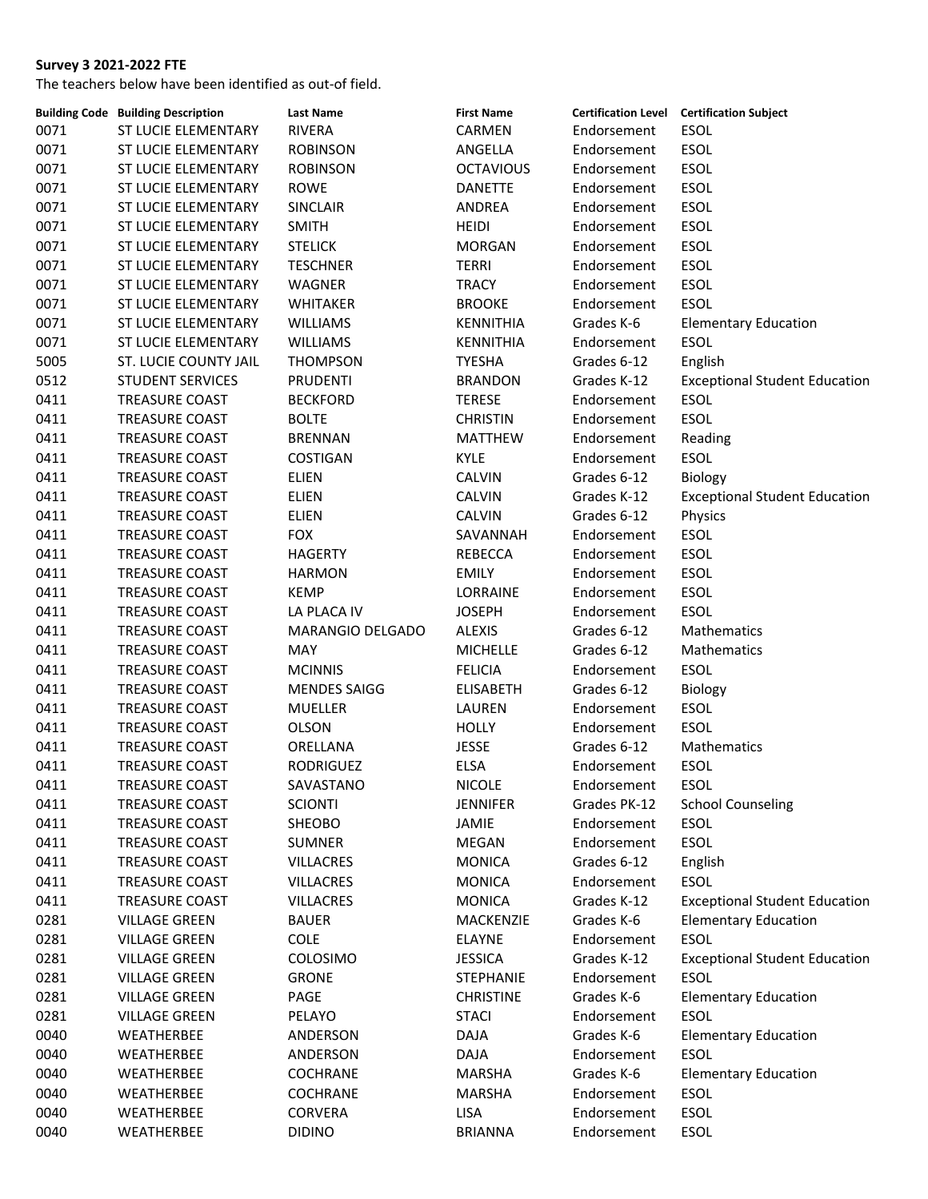|      | <b>Building Code Building Description</b> | <b>Last Name</b>    | <b>First Name</b> |              | <b>Certification Level Certification Subject</b> |
|------|-------------------------------------------|---------------------|-------------------|--------------|--------------------------------------------------|
| 0071 | ST LUCIE ELEMENTARY                       | <b>RIVERA</b>       | CARMEN            | Endorsement  | ESOL                                             |
| 0071 | ST LUCIE ELEMENTARY                       | <b>ROBINSON</b>     | ANGELLA           | Endorsement  | <b>ESOL</b>                                      |
| 0071 | ST LUCIE ELEMENTARY                       | <b>ROBINSON</b>     | <b>OCTAVIOUS</b>  | Endorsement  | ESOL                                             |
| 0071 | ST LUCIE ELEMENTARY                       | <b>ROWE</b>         | <b>DANETTE</b>    | Endorsement  | <b>ESOL</b>                                      |
| 0071 | ST LUCIE ELEMENTARY                       | SINCLAIR            | ANDREA            | Endorsement  | ESOL                                             |
| 0071 | ST LUCIE ELEMENTARY                       | <b>SMITH</b>        | <b>HEIDI</b>      | Endorsement  | <b>ESOL</b>                                      |
| 0071 | ST LUCIE ELEMENTARY                       | <b>STELICK</b>      | <b>MORGAN</b>     | Endorsement  | ESOL                                             |
| 0071 | ST LUCIE ELEMENTARY                       | <b>TESCHNER</b>     | <b>TERRI</b>      | Endorsement  | ESOL                                             |
| 0071 | ST LUCIE ELEMENTARY                       | WAGNER              | <b>TRACY</b>      | Endorsement  | ESOL                                             |
| 0071 | ST LUCIE ELEMENTARY                       | WHITAKER            | <b>BROOKE</b>     | Endorsement  | <b>ESOL</b>                                      |
| 0071 | ST LUCIE ELEMENTARY                       | <b>WILLIAMS</b>     | KENNITHIA         | Grades K-6   | <b>Elementary Education</b>                      |
| 0071 | ST LUCIE ELEMENTARY                       | <b>WILLIAMS</b>     | KENNITHIA         | Endorsement  | <b>ESOL</b>                                      |
| 5005 | ST. LUCIE COUNTY JAIL                     | <b>THOMPSON</b>     | <b>TYESHA</b>     | Grades 6-12  | English                                          |
| 0512 | <b>STUDENT SERVICES</b>                   | <b>PRUDENTI</b>     | <b>BRANDON</b>    | Grades K-12  | <b>Exceptional Student Education</b>             |
| 0411 | TREASURE COAST                            | <b>BECKFORD</b>     | <b>TERESE</b>     | Endorsement  | ESOL                                             |
| 0411 | <b>TREASURE COAST</b>                     | <b>BOLTE</b>        | <b>CHRISTIN</b>   | Endorsement  | <b>ESOL</b>                                      |
| 0411 | TREASURE COAST                            | <b>BRENNAN</b>      | <b>MATTHEW</b>    | Endorsement  | Reading                                          |
| 0411 | TREASURE COAST                            | COSTIGAN            | KYLE              | Endorsement  | ESOL                                             |
| 0411 | TREASURE COAST                            | ELIEN               | CALVIN            | Grades 6-12  | Biology                                          |
| 0411 | TREASURE COAST                            | <b>ELIEN</b>        | CALVIN            | Grades K-12  | <b>Exceptional Student Education</b>             |
| 0411 | TREASURE COAST                            | <b>ELIEN</b>        | <b>CALVIN</b>     | Grades 6-12  | Physics                                          |
| 0411 | TREASURE COAST                            | <b>FOX</b>          | SAVANNAH          | Endorsement  | ESOL                                             |
| 0411 | TREASURE COAST                            | <b>HAGERTY</b>      | REBECCA           | Endorsement  | ESOL                                             |
| 0411 | TREASURE COAST                            |                     |                   |              | ESOL                                             |
|      |                                           | <b>HARMON</b>       | <b>EMILY</b>      | Endorsement  |                                                  |
| 0411 | TREASURE COAST                            | <b>KEMP</b>         | LORRAINE          | Endorsement  | ESOL                                             |
| 0411 | TREASURE COAST                            | LA PLACA IV         | <b>JOSEPH</b>     | Endorsement  | <b>ESOL</b>                                      |
| 0411 | TREASURE COAST                            | MARANGIO DELGADO    | <b>ALEXIS</b>     | Grades 6-12  | Mathematics                                      |
| 0411 | TREASURE COAST                            | MAY                 | <b>MICHELLE</b>   | Grades 6-12  | Mathematics                                      |
| 0411 | TREASURE COAST                            | <b>MCINNIS</b>      | <b>FELICIA</b>    | Endorsement  | <b>ESOL</b>                                      |
| 0411 | TREASURE COAST                            | <b>MENDES SAIGG</b> | <b>ELISABETH</b>  | Grades 6-12  | Biology                                          |
| 0411 | TREASURE COAST                            | <b>MUELLER</b>      | LAUREN            | Endorsement  | <b>ESOL</b>                                      |
| 0411 | TREASURE COAST                            | <b>OLSON</b>        | HOLLY             | Endorsement  | <b>ESOL</b>                                      |
| 0411 | TREASURE COAST                            | ORELLANA            | <b>JESSE</b>      | Grades 6-12  | Mathematics                                      |
| 0411 | <b>TREASURE COAST</b>                     | <b>RODRIGUEZ</b>    | <b>ELSA</b>       | Endorsement  | ESOL                                             |
| 0411 | TREASURE COAST                            | SAVASTANO           | <b>NICOLE</b>     | Endorsement  | <b>ESOL</b>                                      |
| 0411 | <b>TREASURE COAST</b>                     | <b>SCIONTI</b>      | <b>JENNIFER</b>   | Grades PK-12 | <b>School Counseling</b>                         |
| 0411 | TREASURE COAST                            | <b>SHEOBO</b>       | JAMIE             | Endorsement  | <b>ESOL</b>                                      |
| 0411 | TREASURE COAST                            | <b>SUMNER</b>       | MEGAN             | Endorsement  | <b>ESOL</b>                                      |
| 0411 | <b>TREASURE COAST</b>                     | <b>VILLACRES</b>    | <b>MONICA</b>     | Grades 6-12  | English                                          |
| 0411 | <b>TREASURE COAST</b>                     | <b>VILLACRES</b>    | <b>MONICA</b>     | Endorsement  | ESOL                                             |
| 0411 | <b>TREASURE COAST</b>                     | <b>VILLACRES</b>    | <b>MONICA</b>     | Grades K-12  | <b>Exceptional Student Education</b>             |
| 0281 | <b>VILLAGE GREEN</b>                      | <b>BAUER</b>        | MACKENZIE         | Grades K-6   | <b>Elementary Education</b>                      |
| 0281 | <b>VILLAGE GREEN</b>                      | COLE                | <b>ELAYNE</b>     | Endorsement  | <b>ESOL</b>                                      |
| 0281 | <b>VILLAGE GREEN</b>                      | <b>COLOSIMO</b>     | <b>JESSICA</b>    | Grades K-12  | <b>Exceptional Student Education</b>             |
| 0281 | <b>VILLAGE GREEN</b>                      | <b>GRONE</b>        | <b>STEPHANIE</b>  | Endorsement  | <b>ESOL</b>                                      |
| 0281 | <b>VILLAGE GREEN</b>                      | PAGE                | <b>CHRISTINE</b>  | Grades K-6   | <b>Elementary Education</b>                      |
| 0281 | <b>VILLAGE GREEN</b>                      | PELAYO              | <b>STACI</b>      | Endorsement  | <b>ESOL</b>                                      |
| 0040 | WEATHERBEE                                | ANDERSON            | <b>DAJA</b>       | Grades K-6   | <b>Elementary Education</b>                      |
| 0040 | WEATHERBEE                                | ANDERSON            | DAJA              | Endorsement  | ESOL                                             |
| 0040 | WEATHERBEE                                | <b>COCHRANE</b>     | <b>MARSHA</b>     | Grades K-6   | <b>Elementary Education</b>                      |
| 0040 | WEATHERBEE                                | <b>COCHRANE</b>     | <b>MARSHA</b>     | Endorsement  | ESOL                                             |
| 0040 | WEATHERBEE                                | <b>CORVERA</b>      | LISA              | Endorsement  | ESOL                                             |
| 0040 | WEATHERBEE                                | <b>DIDINO</b>       | <b>BRIANNA</b>    | Endorsement  | ESOL                                             |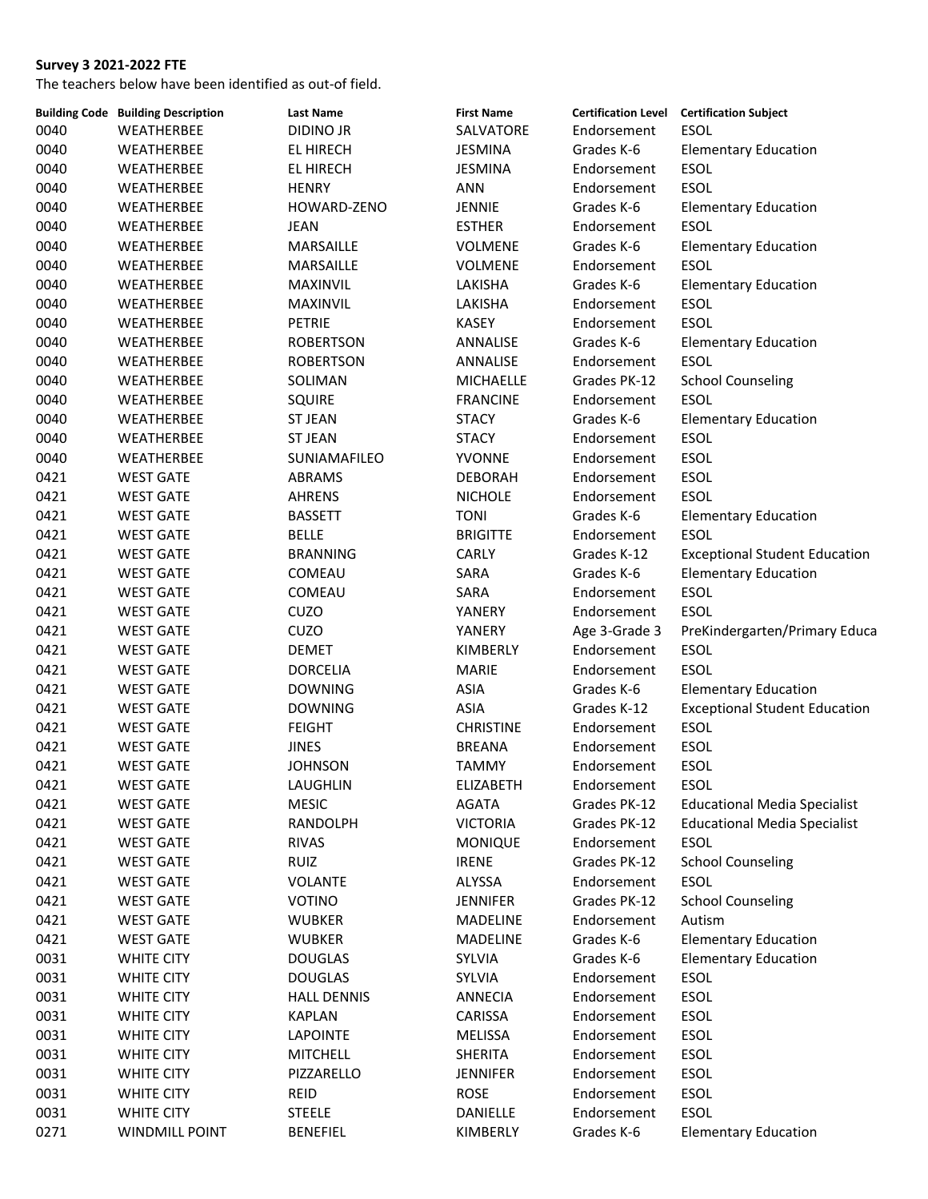|      | <b>Building Code Building Description</b> | <b>Last Name</b>   | <b>First Name</b> |               | Certification Level Certification Subject |
|------|-------------------------------------------|--------------------|-------------------|---------------|-------------------------------------------|
| 0040 | WEATHERBEE                                | <b>DIDINO JR</b>   | SALVATORE         | Endorsement   | <b>ESOL</b>                               |
| 0040 | WEATHERBEE                                | EL HIRECH          | JESMINA           | Grades K-6    | <b>Elementary Education</b>               |
| 0040 | WEATHERBEE                                | EL HIRECH          | <b>JESMINA</b>    | Endorsement   | <b>ESOL</b>                               |
| 0040 | WEATHERBEE                                | <b>HENRY</b>       | ANN               | Endorsement   | <b>ESOL</b>                               |
| 0040 | WEATHERBEE                                | HOWARD-ZENO        | <b>JENNIE</b>     | Grades K-6    | <b>Elementary Education</b>               |
| 0040 | WEATHERBEE                                | <b>JEAN</b>        | <b>ESTHER</b>     | Endorsement   | <b>ESOL</b>                               |
| 0040 | WEATHERBEE                                | MARSAILLE          | <b>VOLMENE</b>    | Grades K-6    | <b>Elementary Education</b>               |
| 0040 | WEATHERBEE                                | MARSAILLE          | <b>VOLMENE</b>    | Endorsement   | <b>ESOL</b>                               |
| 0040 | WEATHERBEE                                | MAXINVIL           | LAKISHA           | Grades K-6    | <b>Elementary Education</b>               |
| 0040 | WEATHERBEE                                | MAXINVIL           | LAKISHA           | Endorsement   | ESOL                                      |
| 0040 | WEATHERBEE                                | <b>PETRIE</b>      | <b>KASEY</b>      | Endorsement   | <b>ESOL</b>                               |
| 0040 | WEATHERBEE                                | <b>ROBERTSON</b>   | ANNALISE          | Grades K-6    | <b>Elementary Education</b>               |
| 0040 | WEATHERBEE                                | <b>ROBERTSON</b>   | ANNALISE          | Endorsement   | <b>ESOL</b>                               |
| 0040 | WEATHERBEE                                | SOLIMAN            | <b>MICHAELLE</b>  | Grades PK-12  | <b>School Counseling</b>                  |
| 0040 | WEATHERBEE                                | <b>SQUIRE</b>      | <b>FRANCINE</b>   | Endorsement   | <b>ESOL</b>                               |
| 0040 | WEATHERBEE                                | <b>ST JEAN</b>     | <b>STACY</b>      | Grades K-6    | <b>Elementary Education</b>               |
| 0040 | WEATHERBEE                                | <b>ST JEAN</b>     | <b>STACY</b>      | Endorsement   | ESOL                                      |
| 0040 | WEATHERBEE                                | SUNIAMAFILEO       | YVONNE            | Endorsement   | ESOL                                      |
| 0421 | <b>WEST GATE</b>                          | ABRAMS             | <b>DEBORAH</b>    | Endorsement   | ESOL                                      |
| 0421 | <b>WEST GATE</b>                          | <b>AHRENS</b>      | <b>NICHOLE</b>    | Endorsement   | <b>ESOL</b>                               |
|      |                                           |                    |                   |               |                                           |
| 0421 | <b>WEST GATE</b>                          | <b>BASSETT</b>     | <b>TONI</b>       | Grades K-6    | <b>Elementary Education</b>               |
| 0421 | <b>WEST GATE</b>                          | <b>BELLE</b>       | <b>BRIGITTE</b>   | Endorsement   | <b>ESOL</b>                               |
| 0421 | <b>WEST GATE</b>                          | <b>BRANNING</b>    | CARLY             | Grades K-12   | <b>Exceptional Student Education</b>      |
| 0421 | <b>WEST GATE</b>                          | COMEAU             | SARA              | Grades K-6    | <b>Elementary Education</b>               |
| 0421 | <b>WEST GATE</b>                          | COMEAU             | SARA              | Endorsement   | ESOL                                      |
| 0421 | <b>WEST GATE</b>                          | CUZO               | YANERY            | Endorsement   | ESOL                                      |
| 0421 | <b>WEST GATE</b>                          | CUZO               | YANERY            | Age 3-Grade 3 | PreKindergarten/Primary Educa             |
| 0421 | <b>WEST GATE</b>                          | <b>DEMET</b>       | KIMBERLY          | Endorsement   | <b>ESOL</b>                               |
| 0421 | <b>WEST GATE</b>                          | <b>DORCELIA</b>    | <b>MARIE</b>      | Endorsement   | <b>ESOL</b>                               |
| 0421 | <b>WEST GATE</b>                          | <b>DOWNING</b>     | <b>ASIA</b>       | Grades K-6    | <b>Elementary Education</b>               |
| 0421 | <b>WEST GATE</b>                          | <b>DOWNING</b>     | <b>ASIA</b>       | Grades K-12   | <b>Exceptional Student Education</b>      |
| 0421 | <b>WEST GATE</b>                          | <b>FEIGHT</b>      | <b>CHRISTINE</b>  | Endorsement   | <b>ESOL</b>                               |
| 0421 | <b>WEST GATE</b>                          | <b>JINES</b>       | <b>BREANA</b>     | Endorsement   | ESOL                                      |
| 0421 | <b>WEST GATE</b>                          | <b>JOHNSON</b>     | <b>TAMMY</b>      | Endorsement   | <b>ESOL</b>                               |
| 0421 | <b>WEST GATE</b>                          | LAUGHLIN           | <b>ELIZABETH</b>  | Endorsement   | <b>ESOL</b>                               |
| 0421 | <b>WEST GATE</b>                          | <b>MESIC</b>       | AGATA             | Grades PK-12  | <b>Educational Media Specialist</b>       |
| 0421 | <b>WEST GATE</b>                          | RANDOLPH           | <b>VICTORIA</b>   | Grades PK-12  | <b>Educational Media Specialist</b>       |
| 0421 | <b>WEST GATE</b>                          | <b>RIVAS</b>       | <b>MONIQUE</b>    | Endorsement   | <b>ESOL</b>                               |
| 0421 | <b>WEST GATE</b>                          | <b>RUIZ</b>        | <b>IRENE</b>      | Grades PK-12  | <b>School Counseling</b>                  |
| 0421 | <b>WEST GATE</b>                          | VOLANTE            | ALYSSA            | Endorsement   | <b>ESOL</b>                               |
| 0421 | <b>WEST GATE</b>                          | <b>VOTINO</b>      | <b>JENNIFER</b>   | Grades PK-12  | <b>School Counseling</b>                  |
| 0421 | <b>WEST GATE</b>                          | <b>WUBKER</b>      | <b>MADELINE</b>   | Endorsement   | Autism                                    |
| 0421 | <b>WEST GATE</b>                          | <b>WUBKER</b>      | MADELINE          | Grades K-6    | <b>Elementary Education</b>               |
| 0031 | <b>WHITE CITY</b>                         | <b>DOUGLAS</b>     | SYLVIA            | Grades K-6    | <b>Elementary Education</b>               |
| 0031 | WHITE CITY                                | <b>DOUGLAS</b>     | SYLVIA            | Endorsement   | <b>ESOL</b>                               |
| 0031 | WHITE CITY                                | <b>HALL DENNIS</b> | ANNECIA           | Endorsement   | ESOL                                      |
| 0031 | <b>WHITE CITY</b>                         | <b>KAPLAN</b>      | CARISSA           | Endorsement   | ESOL                                      |
| 0031 | WHITE CITY                                | <b>LAPOINTE</b>    | MELISSA           | Endorsement   | <b>ESOL</b>                               |
| 0031 | WHITE CITY                                | <b>MITCHELL</b>    | SHERITA           | Endorsement   | <b>ESOL</b>                               |
| 0031 | WHITE CITY                                | PIZZARELLO         | <b>JENNIFER</b>   | Endorsement   | <b>ESOL</b>                               |
| 0031 | WHITE CITY                                | REID               | <b>ROSE</b>       | Endorsement   | ESOL                                      |
| 0031 | <b>WHITE CITY</b>                         | <b>STEELE</b>      | DANIELLE          | Endorsement   | <b>ESOL</b>                               |
| 0271 | <b>WINDMILL POINT</b>                     | <b>BENEFIEL</b>    | KIMBERLY          | Grades K-6    | <b>Elementary Education</b>               |
|      |                                           |                    |                   |               |                                           |